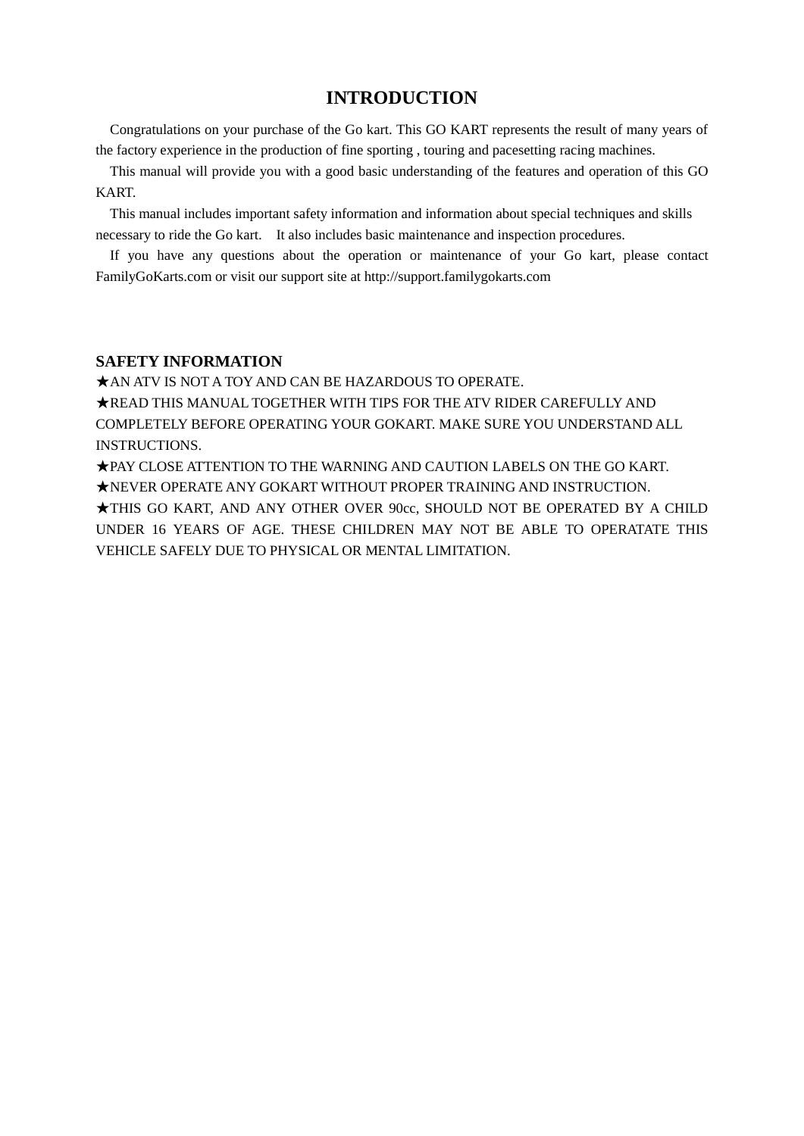# **INTRODUCTION**

Congratulations on your purchase of the Go kart. This GO KART represents the result of many years of the factory experience in the production of fine sporting , touring and pacesetting racing machines.

This manual will provide you with a good basic understanding of the features and operation of this GO KART.

This manual includes important safety information and information about special techniques and skills necessary to ride the Go kart. It also includes basic maintenance and inspection procedures.

If you have any questions about the operation or maintenance of your Go kart, please contact FamilyGoKarts.com or visit our support site at http://support.familygokarts.com

#### **SAFETY INFORMATION**

★AN ATV IS NOT A TOY AND CAN BE HAZARDOUS TO OPERATE.

★READ THIS MANUAL TOGETHER WITH TIPS FOR THE ATV RIDER CAREFULLY AND COMPLETELY BEFORE OPERATING YOUR GOKART. MAKE SURE YOU UNDERSTAND ALL INSTRUCTIONS.

★PAY CLOSE ATTENTION TO THE WARNING AND CAUTION LABELS ON THE GO KART. ★NEVER OPERATE ANY GOKART WITHOUT PROPER TRAINING AND INSTRUCTION.

★THIS GO KART, AND ANY OTHER OVER 90cc, SHOULD NOT BE OPERATED BY A CHILD UNDER 16 YEARS OF AGE. THESE CHILDREN MAY NOT BE ABLE TO OPERATATE THIS VEHICLE SAFELY DUE TO PHYSICAL OR MENTAL LIMITATION.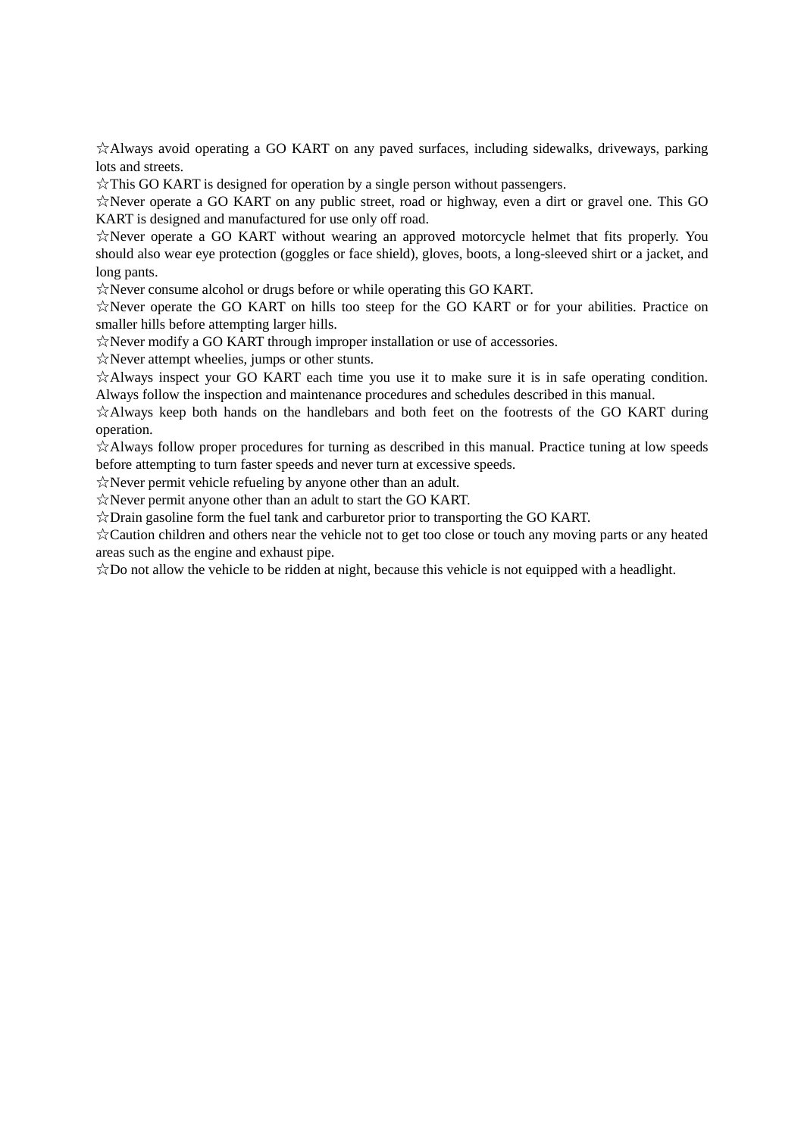☆Always avoid operating a GO KART on any paved surfaces, including sidewalks, driveways, parking lots and streets.

☆This GO KART is designed for operation by a single person without passengers.

☆Never operate a GO KART on any public street, road or highway, even a dirt or gravel one. This GO KART is designed and manufactured for use only off road.

☆Never operate a GO KART without wearing an approved motorcycle helmet that fits properly. You should also wear eye protection (goggles or face shield), gloves, boots, a long-sleeved shirt or a jacket, and long pants.

☆Never consume alcohol or drugs before or while operating this GO KART.

☆Never operate the GO KART on hills too steep for the GO KART or for your abilities. Practice on smaller hills before attempting larger hills.

☆Never modify a GO KART through improper installation or use of accessories.

☆Never attempt wheelies, jumps or other stunts.

☆Always inspect your GO KART each time you use it to make sure it is in safe operating condition. Always follow the inspection and maintenance procedures and schedules described in this manual.

☆Always keep both hands on the handlebars and both feet on the footrests of the GO KART during operation.

☆Always follow proper procedures for turning as described in this manual. Practice tuning at low speeds before attempting to turn faster speeds and never turn at excessive speeds.

☆Never permit vehicle refueling by anyone other than an adult.

☆Never permit anyone other than an adult to start the GO KART.

☆Drain gasoline form the fuel tank and carburetor prior to transporting the GO KART.

☆Caution children and others near the vehicle not to get too close or touch any moving parts or any heated areas such as the engine and exhaust pipe.

 $\angle$ Do not allow the vehicle to be ridden at night, because this vehicle is not equipped with a headlight.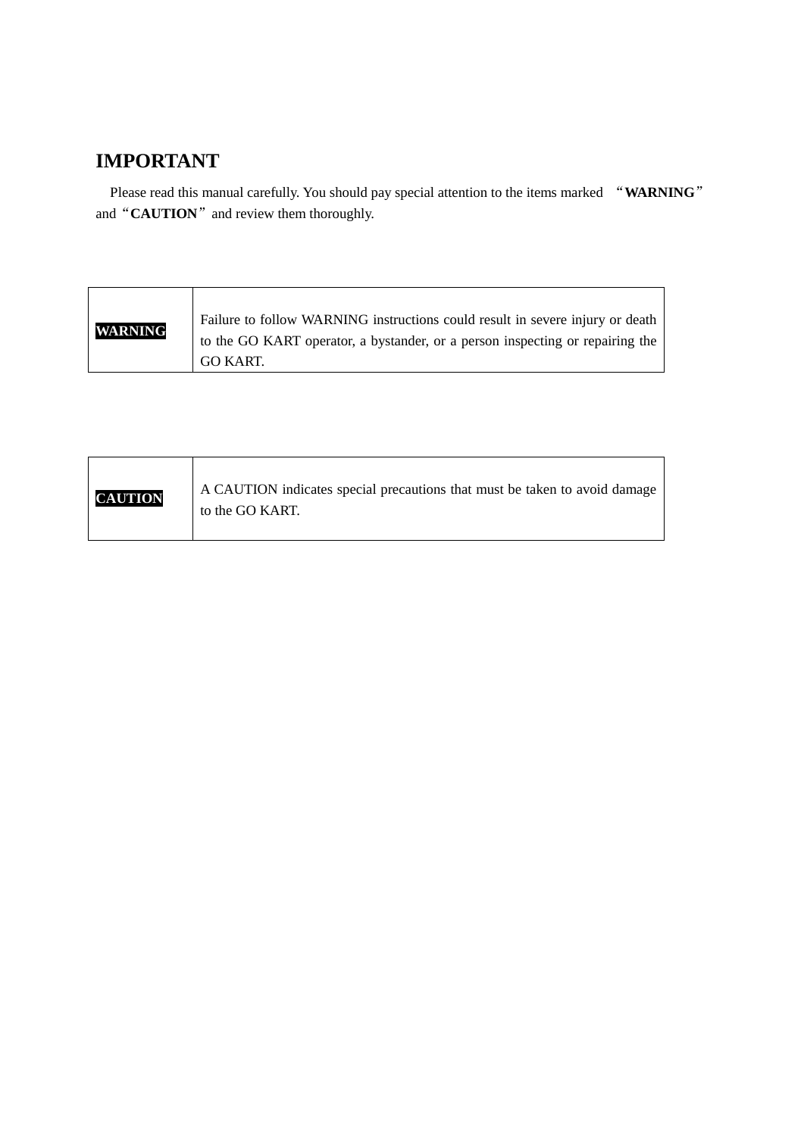# **IMPORTANT**

Please read this manual carefully. You should pay special attention to the items marked "**WARNING**" and "**CAUTION**" and review them thoroughly.

| <b>WARNING</b> | Failure to follow WARNING instructions could result in severe injury or death<br>to the GO KART operator, a bystander, or a person inspecting or repairing the |
|----------------|----------------------------------------------------------------------------------------------------------------------------------------------------------------|
|                | GO KART.                                                                                                                                                       |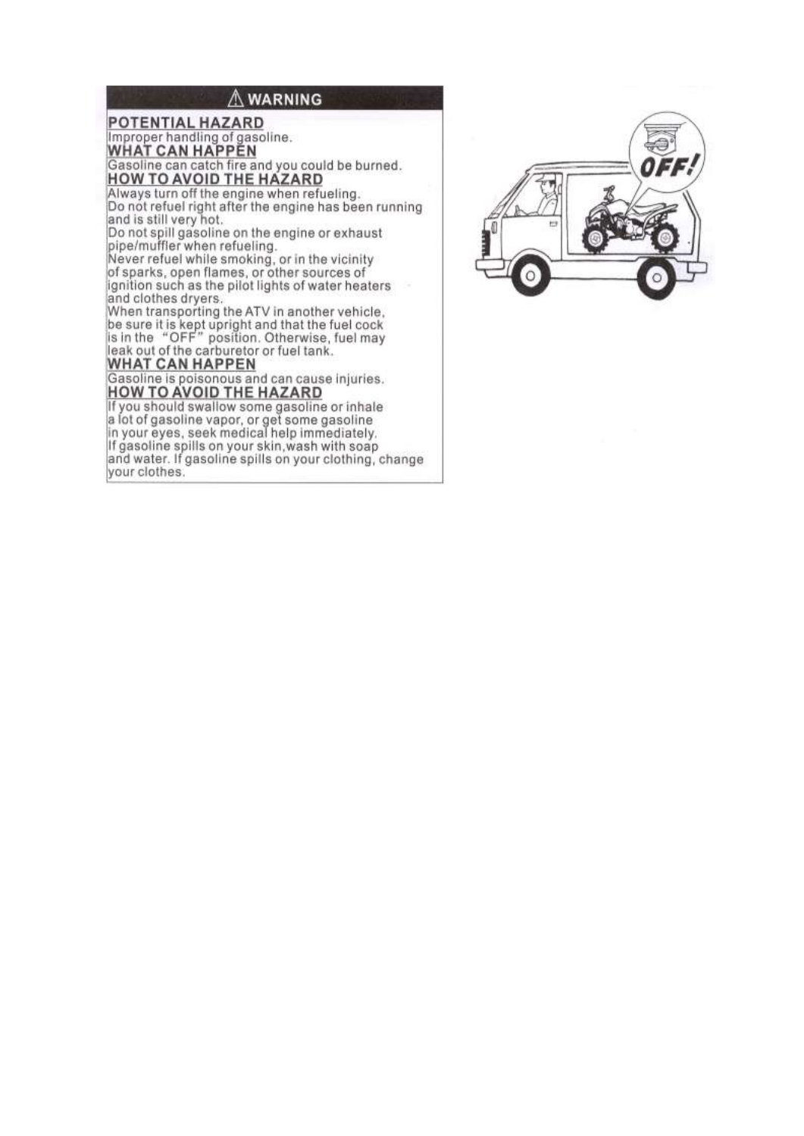## A WARNING

# **POTENTIAL HAZARD** Improper handling of gasoline.<br>WHAT CAN HAPPEN<br>Gasoline can catch fire and you could be burned.<br>HOW TO AVOID THE HAZARD Always turn off the engine when refueling. Do not refuel right after the engine has been running and is still very hot.<br>Do not spill gasoline on the engine or exhaust pipe/muffler when refueling.<br>Never refuel while smoking, or in the vicinity of sparks, open flames, or other sources of ignition such as the pilot lights of water heaters and clothes dryers. When transporting the ATV in another vehicle,<br>be sure it is kept upright and that the fuel cock<br>is in the "OFF" position. Otherwise, fuel may leak out of the carburetor or fuel tank. **WHAT CAN HAPPEN** Gasoline is poisonous and can cause injuries.<br>HOW TO AVOID THE HAZARD

If you should swallow some gasoline or inhale a lot of gasoline vapor, or get some gasoline<br>in your eyes, seek medical help immediately. If gasoline spills on your skin, wash with soap and water. If gasoline spills on your clothing, change your clothes.

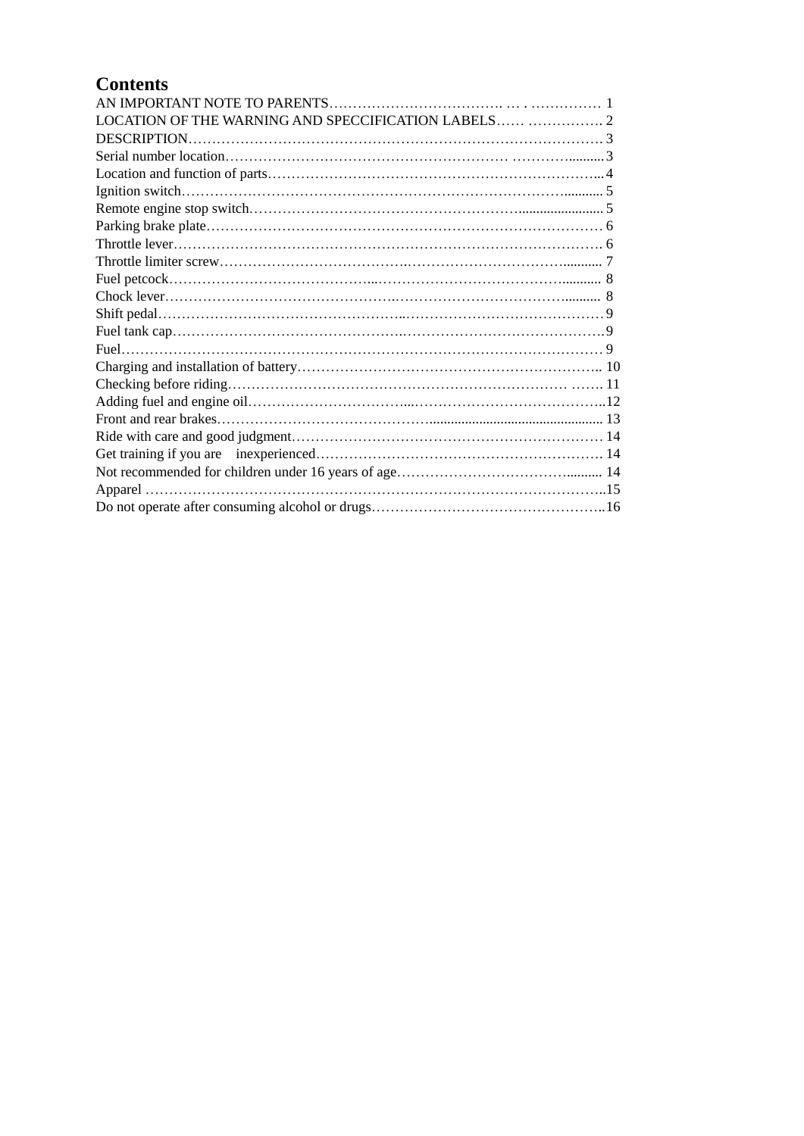# **Contents**

| LOCATION OF THE WARNING AND SPECCIFICATION LABELS  2 |
|------------------------------------------------------|
|                                                      |
|                                                      |
|                                                      |
|                                                      |
|                                                      |
|                                                      |
|                                                      |
|                                                      |
|                                                      |
|                                                      |
|                                                      |
|                                                      |
|                                                      |
|                                                      |
|                                                      |
|                                                      |
|                                                      |
|                                                      |
|                                                      |
|                                                      |
|                                                      |
|                                                      |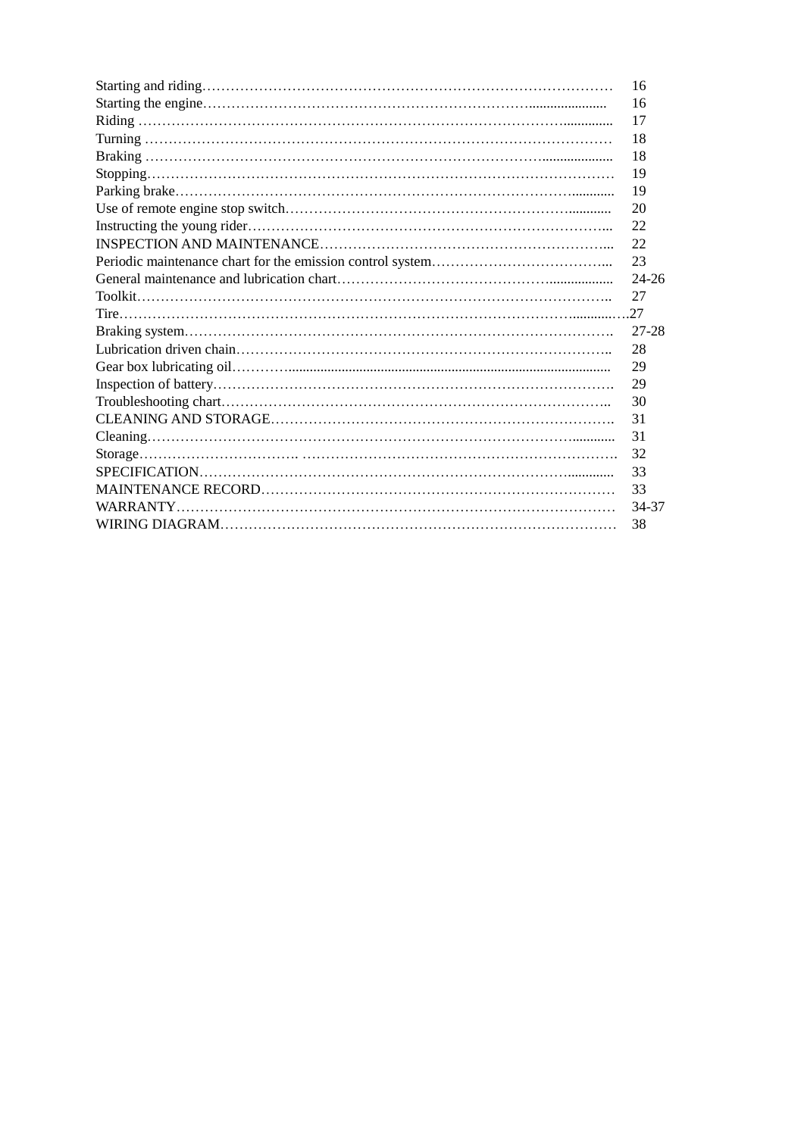| 16        |
|-----------|
| 16        |
| 17        |
| 18        |
| 18        |
| 19        |
| 19        |
| 20        |
| 22        |
| 22        |
| 23        |
| $24 - 26$ |
| 27        |
|           |
|           |
| 27-28     |
| 28        |
| 29        |
| 29        |
| 30        |
| 31        |
| 31        |
| 32        |
| 33        |
| 33        |
| 34-37     |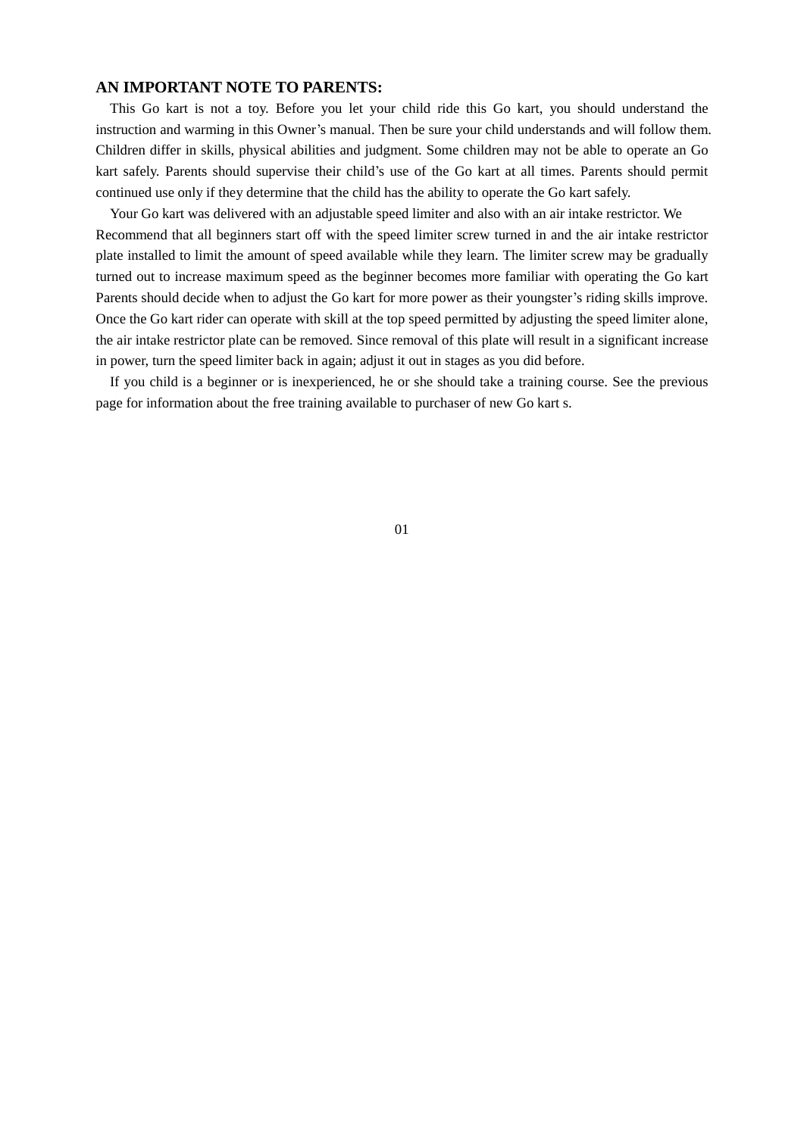#### **AN IMPORTANT NOTE TO PARENTS:**

This Go kart is not a toy. Before you let your child ride this Go kart, you should understand the instruction and warming in this Owner's manual. Then be sure your child understands and will follow them. Children differ in skills, physical abilities and judgment. Some children may not be able to operate an Go kart safely. Parents should supervise their child's use of the Go kart at all times. Parents should permit continued use only if they determine that the child has the ability to operate the Go kart safely.

Your Go kart was delivered with an adjustable speed limiter and also with an air intake restrictor. We Recommend that all beginners start off with the speed limiter screw turned in and the air intake restrictor plate installed to limit the amount of speed available while they learn. The limiter screw may be gradually turned out to increase maximum speed as the beginner becomes more familiar with operating the Go kart Parents should decide when to adjust the Go kart for more power as their youngster's riding skills improve. Once the Go kart rider can operate with skill at the top speed permitted by adjusting the speed limiter alone, the air intake restrictor plate can be removed. Since removal of this plate will result in a significant increase in power, turn the speed limiter back in again; adjust it out in stages as you did before.

If you child is a beginner or is inexperienced, he or she should take a training course. See the previous page for information about the free training available to purchaser of new Go kart s.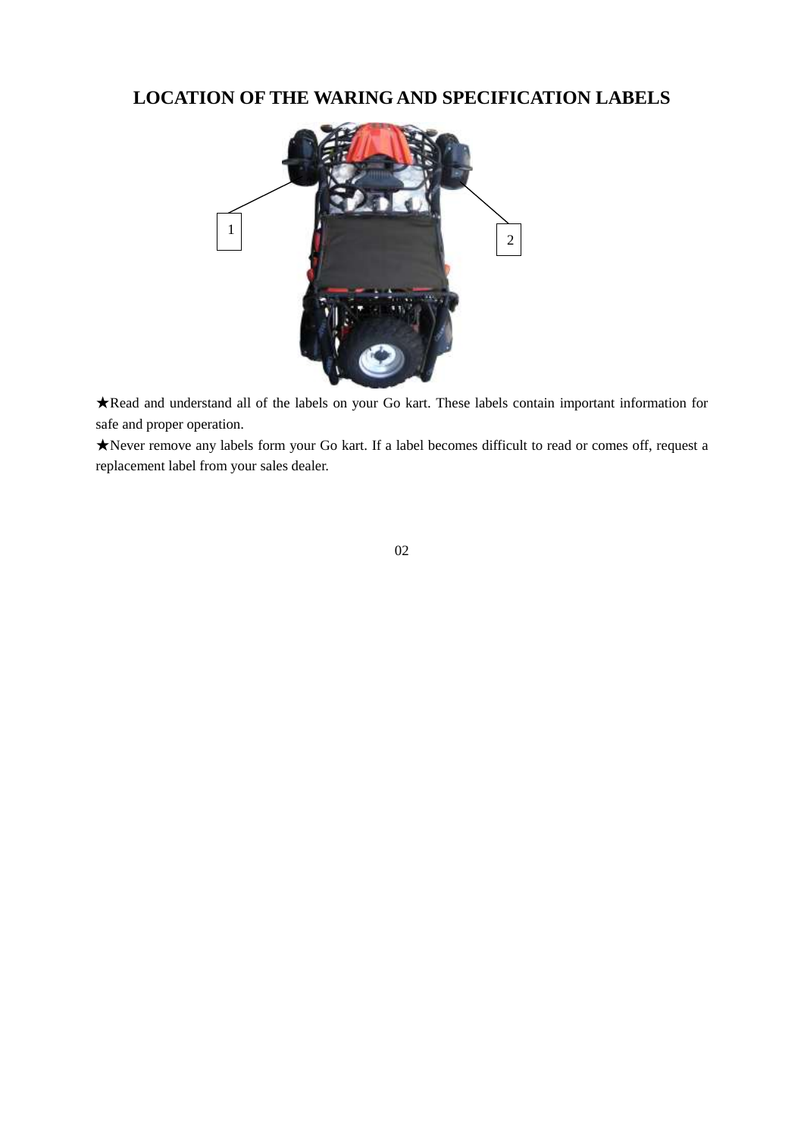# **LOCATION OF THE WARING AND SPECIFICATION LABELS**



★Read and understand all of the labels on your Go kart. These labels contain important information for safe and proper operation.

★Never remove any labels form your Go kart. If a label becomes difficult to read or comes off, request a replacement label from your sales dealer.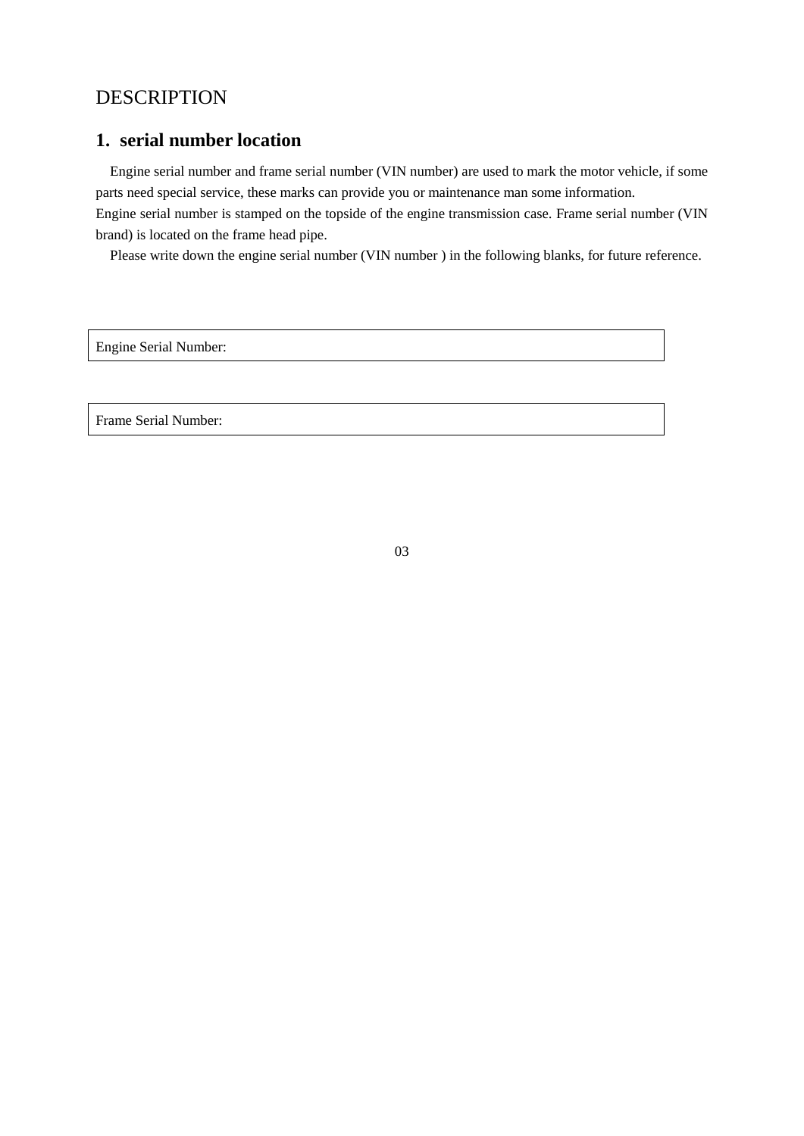# DESCRIPTION

# **1. serial number location**

Engine serial number and frame serial number (VIN number) are used to mark the motor vehicle, if some parts need special service, these marks can provide you or maintenance man some information.

Engine serial number is stamped on the topside of the engine transmission case. Frame serial number (VIN brand) is located on the frame head pipe.

Please write down the engine serial number (VIN number ) in the following blanks, for future reference.

Engine Serial Number:

Frame Serial Number: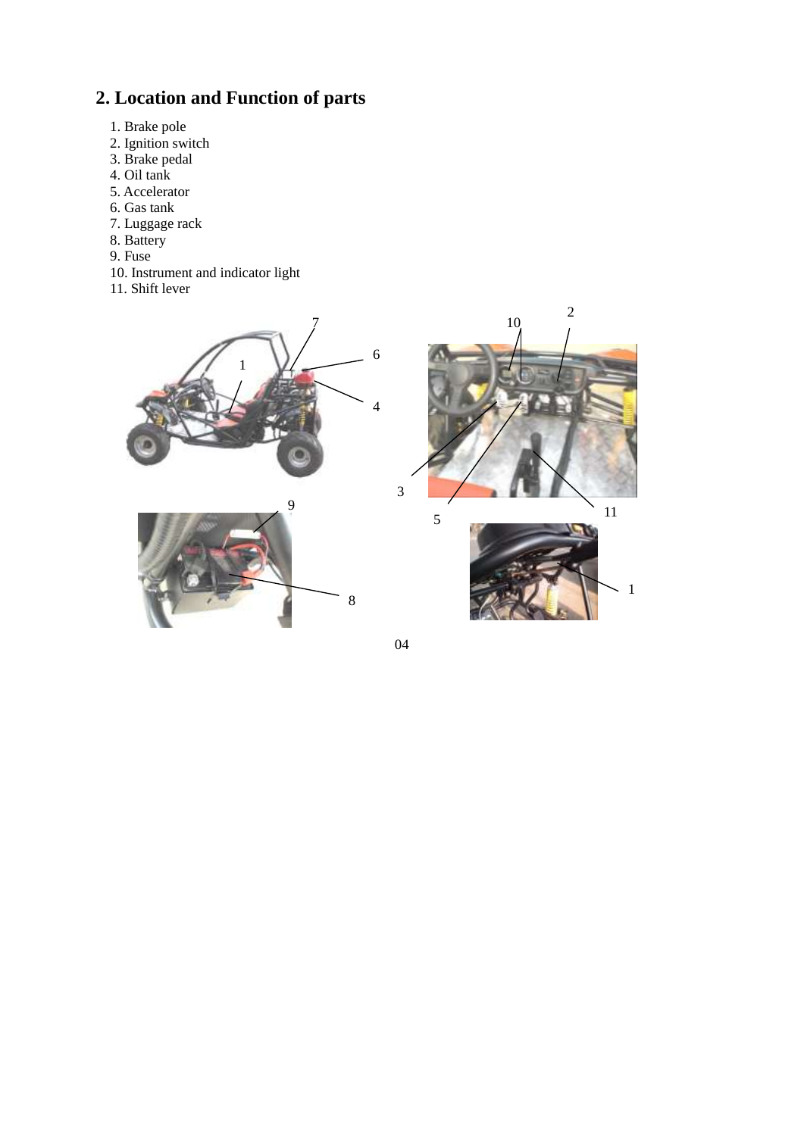# **2. Location and Function of parts**

- 1. Brake pole
- 2. Ignition switch
- 3. Brake pedal
- 4. Oil tank
- 5. Accelerator
- 6. Gas tank
- 7. Luggage rack
- 8. Battery
- 9. Fuse
- 10. Instrument and indicator light
- 11. Shift lever





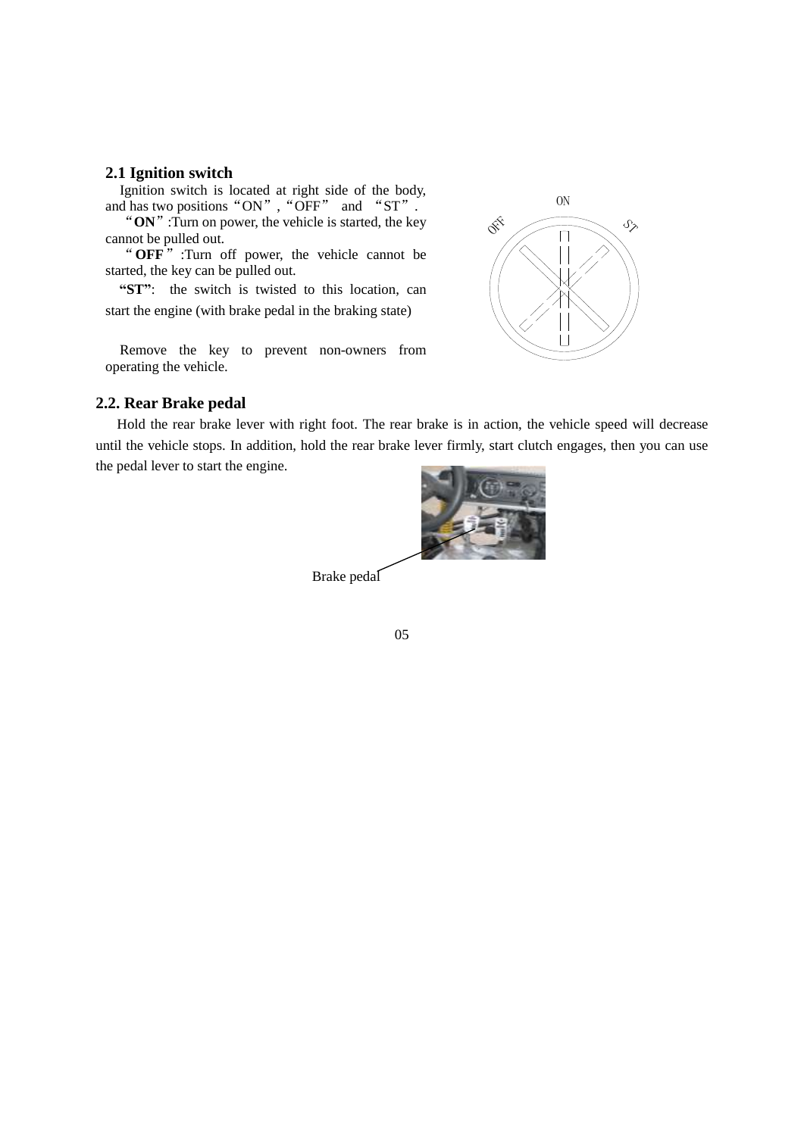#### **2.1 Ignition switch**

Ignition switch is located at right side of the body, and has two positions "ON", "OFF" and "ST".

"**ON**":Turn on power, the vehicle is started, the key cannot be pulled out.

"**OFF**" :Turn off power, the vehicle cannot be started, the key can be pulled out.

**"ST"**: the switch is twisted to this location, can start the engine (with brake pedal in the braking state)

Remove the key to prevent non-owners from operating the vehicle.



#### **2.2. Rear Brake pedal**

Hold the rear brake lever with right foot. The rear brake is in action, the vehicle speed will decrease until the vehicle stops. In addition, hold the rear brake lever firmly, start clutch engages, then you can use the pedal lever to start the engine.



Brake pedal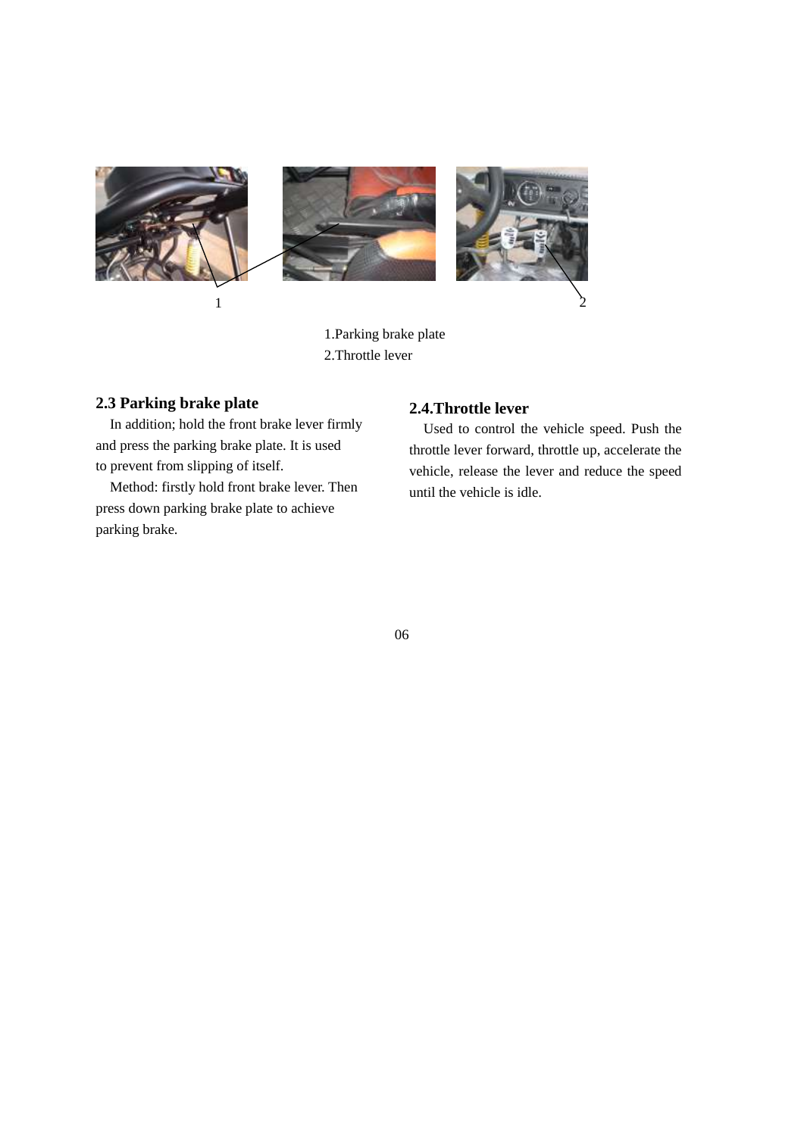

1.Parking brake plate 2.Throttle lever

### **2.3 Parking brake plate**

In addition; hold the front brake lever firmly and press the parking brake plate. It is used to prevent from slipping of itself.

Method: firstly hold front brake lever. Then press down parking brake plate to achieve parking brake.

# **2.4.Throttle lever**

Used to control the vehicle speed. Push the throttle lever forward, throttle up, accelerate the vehicle, release the lever and reduce the speed until the vehicle is idle.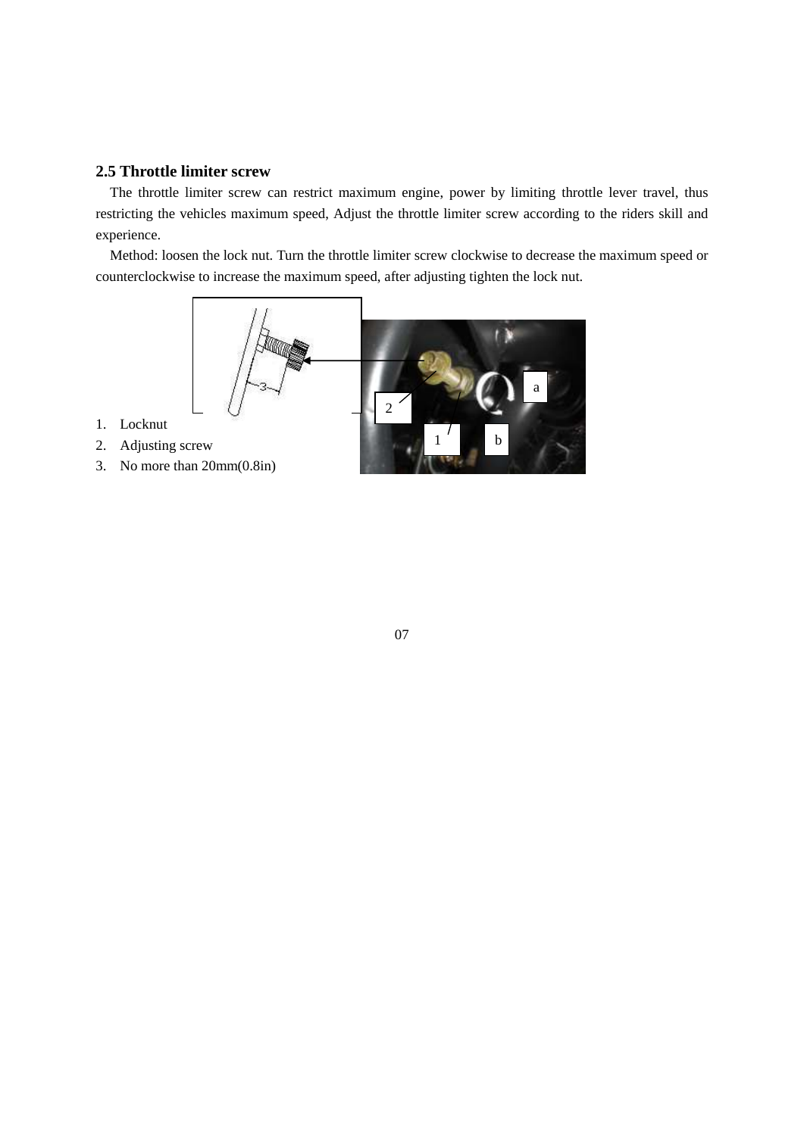## **2.5 Throttle limiter screw**

The throttle limiter screw can restrict maximum engine, power by limiting throttle lever travel, thus restricting the vehicles maximum speed, Adjust the throttle limiter screw according to the riders skill and experience.

Method: loosen the lock nut. Turn the throttle limiter screw clockwise to decrease the maximum speed or counterclockwise to increase the maximum speed, after adjusting tighten the lock nut.



- 1. Locknut
- 2. Adjusting screw
- 3. No more than 20mm(0.8in)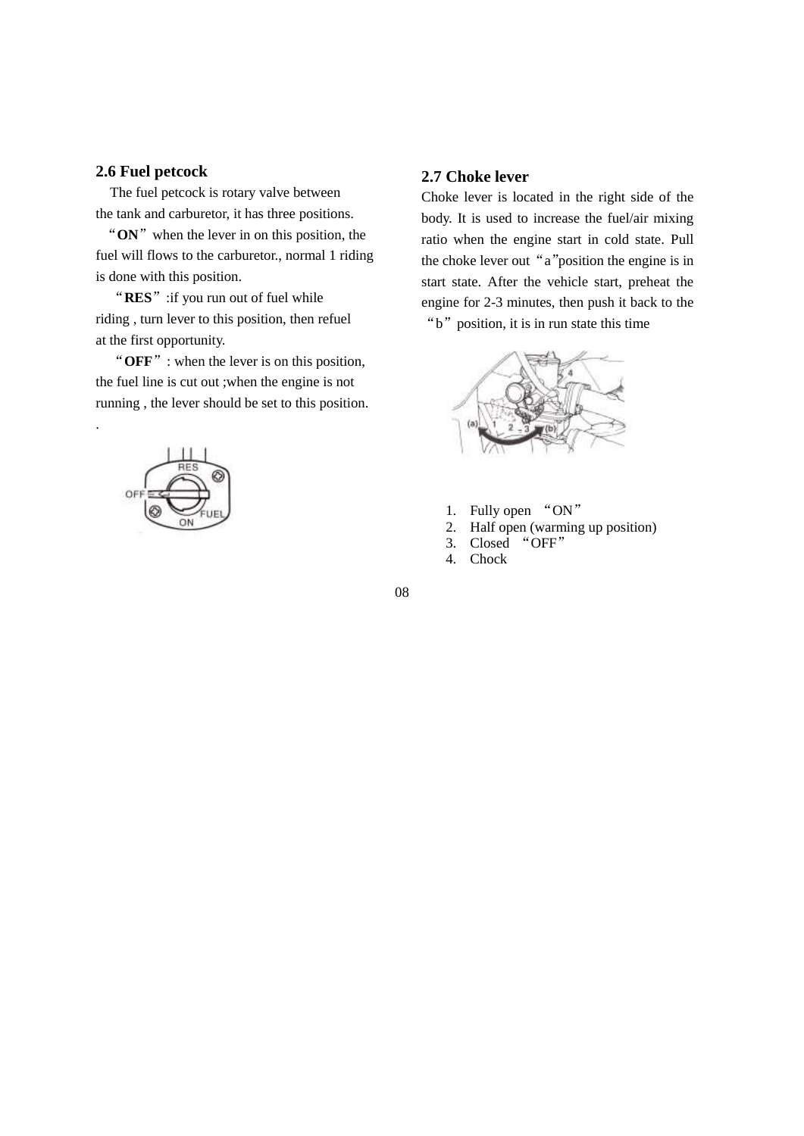## **2.6 Fuel petcock**

The fuel petcock is rotary valve between the tank and carburetor, it has three positions.

"ON" when the lever in on this position, the fuel will flows to the carburetor., normal 1 riding is done with this position.

"**RES**":if you run out of fuel while riding , turn lever to this position, then refuel at the first opportunity.

"**OFF**": when the lever is on this position, the fuel line is cut out ;when the engine is not running , the lever should be set to this position.



.

#### **2.7 Choke lever**

Choke lever is located in the right side of the body. It is used to increase the fuel/air mixing ratio when the engine start in cold state. Pull the choke lever out "a"position the engine is in start state. After the vehicle start, preheat the engine for 2-3 minutes, then push it back to the "b" position, it is in run state this time



- 1. Fully open "ON"
- 2. Half open (warming up position)
- 3. Closed "OFF"
- 4. Chock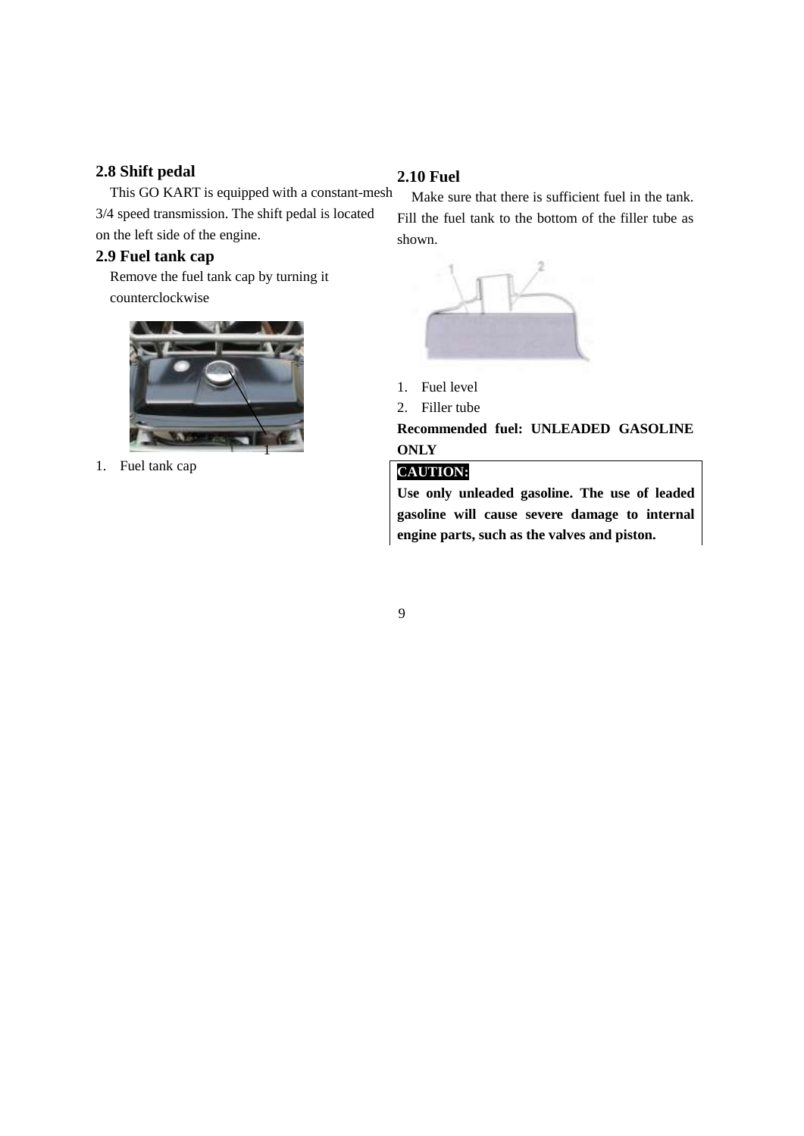## **2.8 Shift pedal**

This GO KART is equipped with a constant-mesh 3/4 speed transmission. The shift pedal is located on the left side of the engine.

#### **2.9 Fuel tank cap**

Remove the fuel tank cap by turning it counterclockwise



1. Fuel tank cap

### **2.10 Fuel**

Make sure that there is sufficient fuel in the tank. Fill the fuel tank to the bottom of the filler tube as shown.



- 1. Fuel level
- 2. Filler tube

**Recommended fuel: UNLEADED GASOLINE ONLY**

### **CAUTION:**

**Use only unleaded gasoline. The use of leaded gasoline will cause severe damage to internal engine parts, such as the valves and piston.**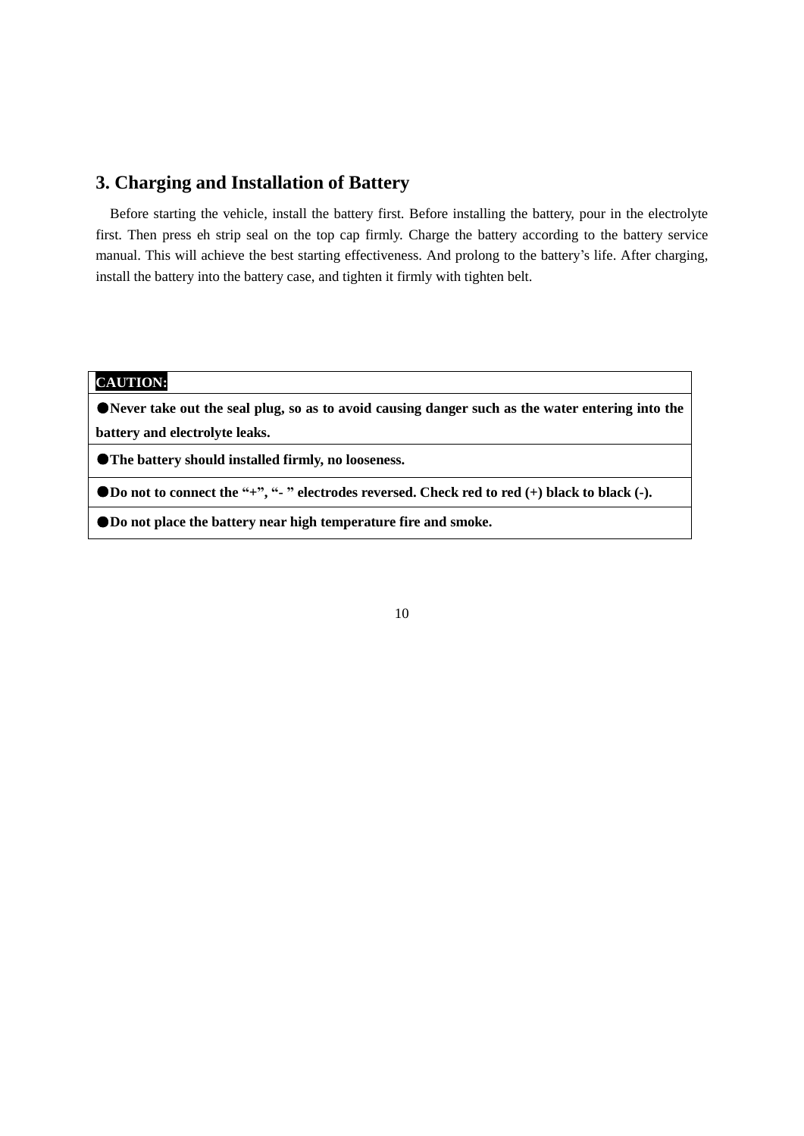## **3. Charging and Installation of Battery**

Before starting the vehicle, install the battery first. Before installing the battery, pour in the electrolyte first. Then press eh strip seal on the top cap firmly. Charge the battery according to the battery service manual. This will achieve the best starting effectiveness. And prolong to the battery's life. After charging, install the battery into the battery case, and tighten it firmly with tighten belt.

## **CAUTION:\**

●**Never take out the seal plug, so as to avoid causing danger such as the water entering into the battery and electrolyte leaks.**

●**The battery should installed firmly, no looseness.**

●**Do not to connect the "+", "- " electrodes reversed. Check red to red (+) black to black (-).**

●**Do not place the battery near high temperature fire and smoke.**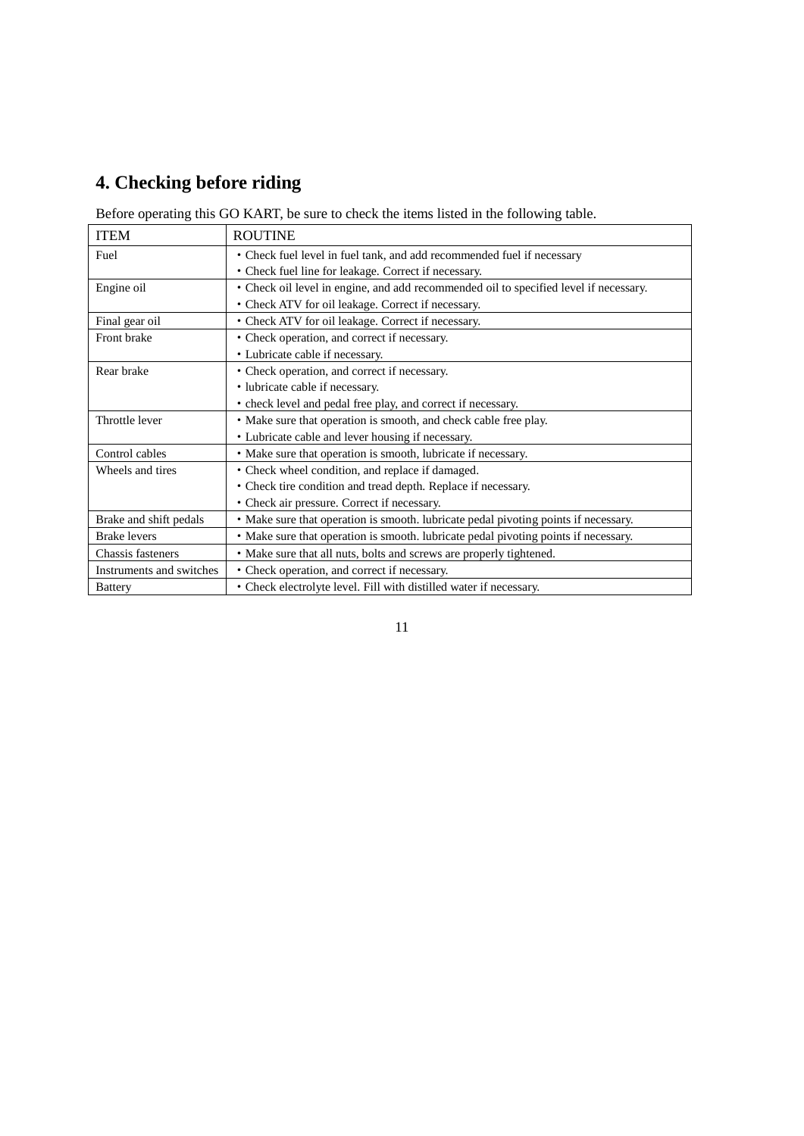# **4. Checking before riding**

Before operating this GO KART, be sure to check the items listed in the following table.

| <b>ITEM</b>              | <b>ROUTINE</b>                                                                        |
|--------------------------|---------------------------------------------------------------------------------------|
| Fuel                     | • Check fuel level in fuel tank, and add recommended fuel if necessary                |
|                          | • Check fuel line for leakage. Correct if necessary.                                  |
| Engine oil               | • Check oil level in engine, and add recommended oil to specified level if necessary. |
|                          | • Check ATV for oil leakage. Correct if necessary.                                    |
| Final gear oil           | • Check ATV for oil leakage. Correct if necessary.                                    |
| Front brake              | • Check operation, and correct if necessary.                                          |
|                          | • Lubricate cable if necessary.                                                       |
| Rear brake               | • Check operation, and correct if necessary.                                          |
|                          | • lubricate cable if necessary.                                                       |
|                          | • check level and pedal free play, and correct if necessary.                          |
| Throttle lever           | • Make sure that operation is smooth, and check cable free play.                      |
|                          | • Lubricate cable and lever housing if necessary.                                     |
| Control cables           | • Make sure that operation is smooth, lubricate if necessary.                         |
| Wheels and tires         | • Check wheel condition, and replace if damaged.                                      |
|                          | • Check tire condition and tread depth. Replace if necessary.                         |
|                          | • Check air pressure. Correct if necessary.                                           |
| Brake and shift pedals   | • Make sure that operation is smooth. lubricate pedal pivoting points if necessary.   |
| <b>Brake levers</b>      | • Make sure that operation is smooth. lubricate pedal pivoting points if necessary.   |
| Chassis fasteners        | • Make sure that all nuts, bolts and screws are properly tightened.                   |
| Instruments and switches | • Check operation, and correct if necessary.                                          |
| <b>Battery</b>           | • Check electrolyte level. Fill with distilled water if necessary.                    |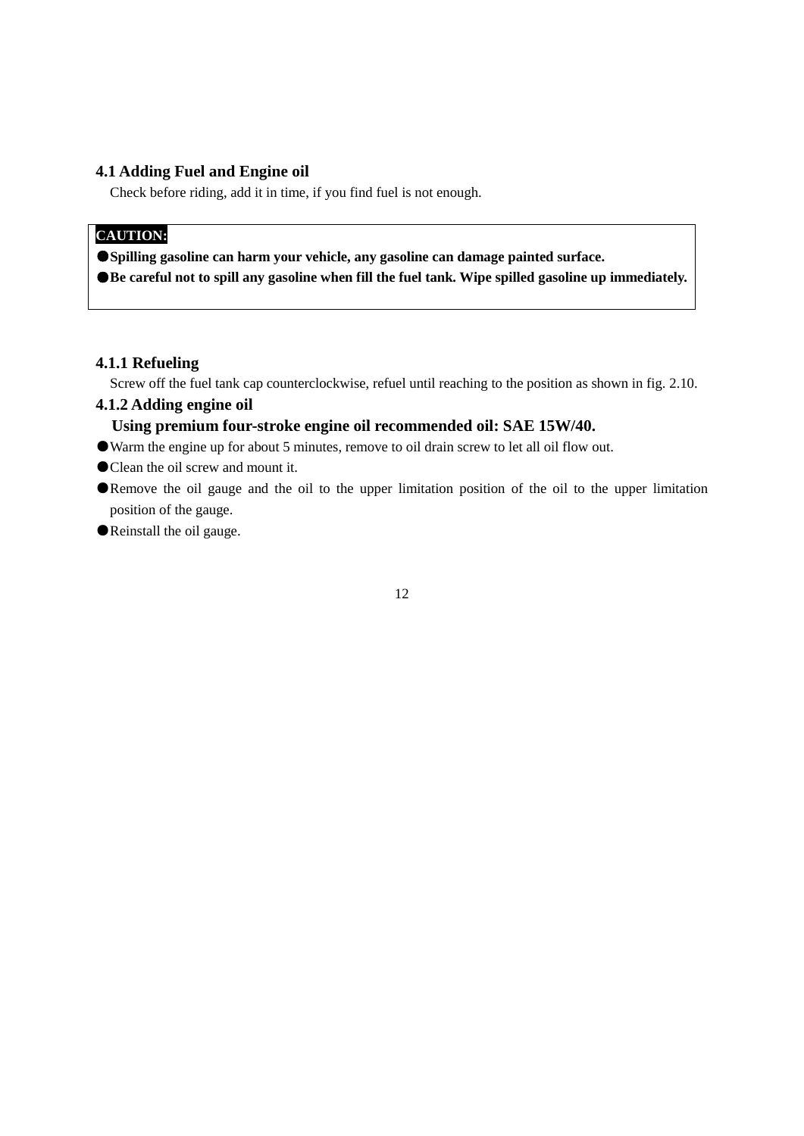## **4.1 Adding Fuel and Engine oil**

Check before riding, add it in time, if you find fuel is not enough.

# **CAUTION:\**

●**Spilling gasoline can harm your vehicle, any gasoline can damage painted surface.**

●**Be careful not to spill any gasoline when fill the fuel tank. Wipe spilled gasoline up immediately.**

### **4.1.1 Refueling**

Screw off the fuel tank cap counterclockwise, refuel until reaching to the position as shown in fig. 2.10.

# **4.1.2 Adding engine oil**

## **Using premium four-stroke engine oil recommended oil: SAE 15W/40.**

- ●Warm the engine up for about 5 minutes, remove to oil drain screw to let all oil flow out.
- Clean the oil screw and mount it.
- ●Remove the oil gauge and the oil to the upper limitation position of the oil to the upper limitation position of the gauge.
- ●Reinstall the oil gauge.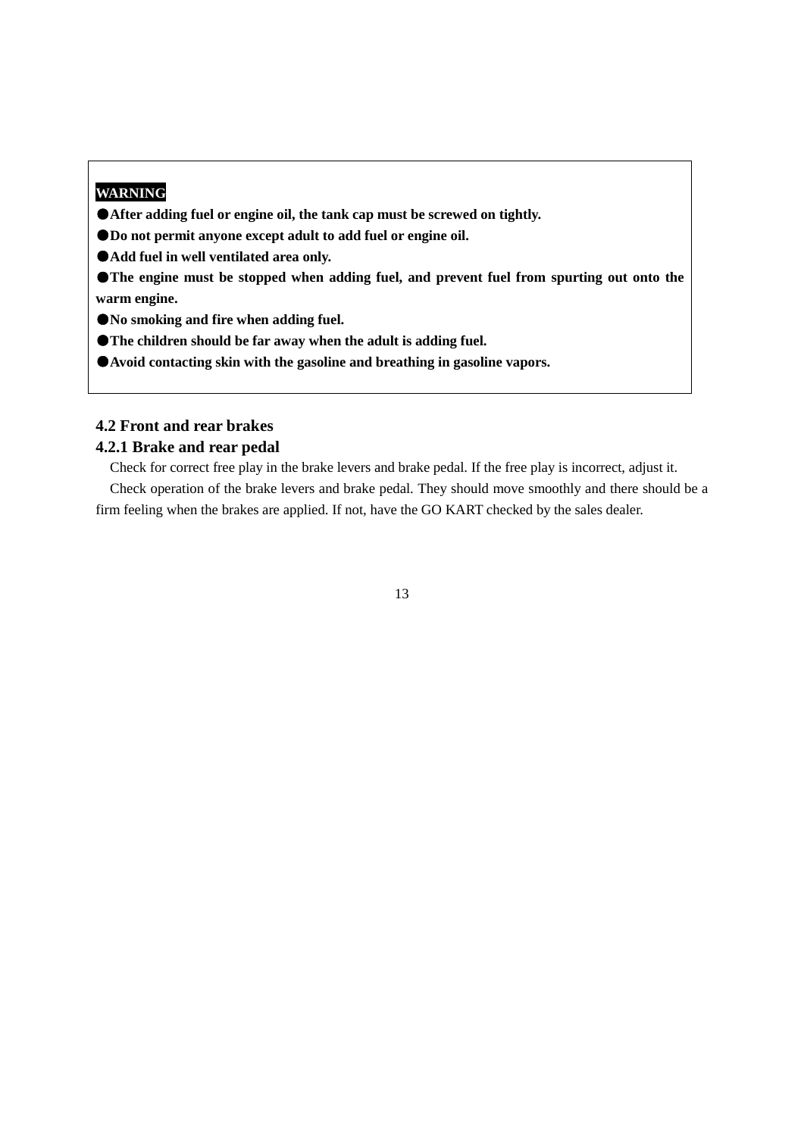## **WARNING**

●**After adding fuel or engine oil, the tank cap must be screwed on tightly.**

●**Do not permit anyone except adult to add fuel or engine oil.**

●**Add fuel in well ventilated area only.**

●**The engine must be stopped when adding fuel, and prevent fuel from spurting out onto the warm engine.**

●**No smoking and fire when adding fuel.**

●**The children should be far away when the adult is adding fuel.**

●**Avoid contacting skin with the gasoline and breathing in gasoline vapors.**

## **4.2 Front and rear brakes**

## **4.2.1 Brake and rear pedal**

Check for correct free play in the brake levers and brake pedal. If the free play is incorrect, adjust it.

Check operation of the brake levers and brake pedal. They should move smoothly and there should be a firm feeling when the brakes are applied. If not, have the GO KART checked by the sales dealer.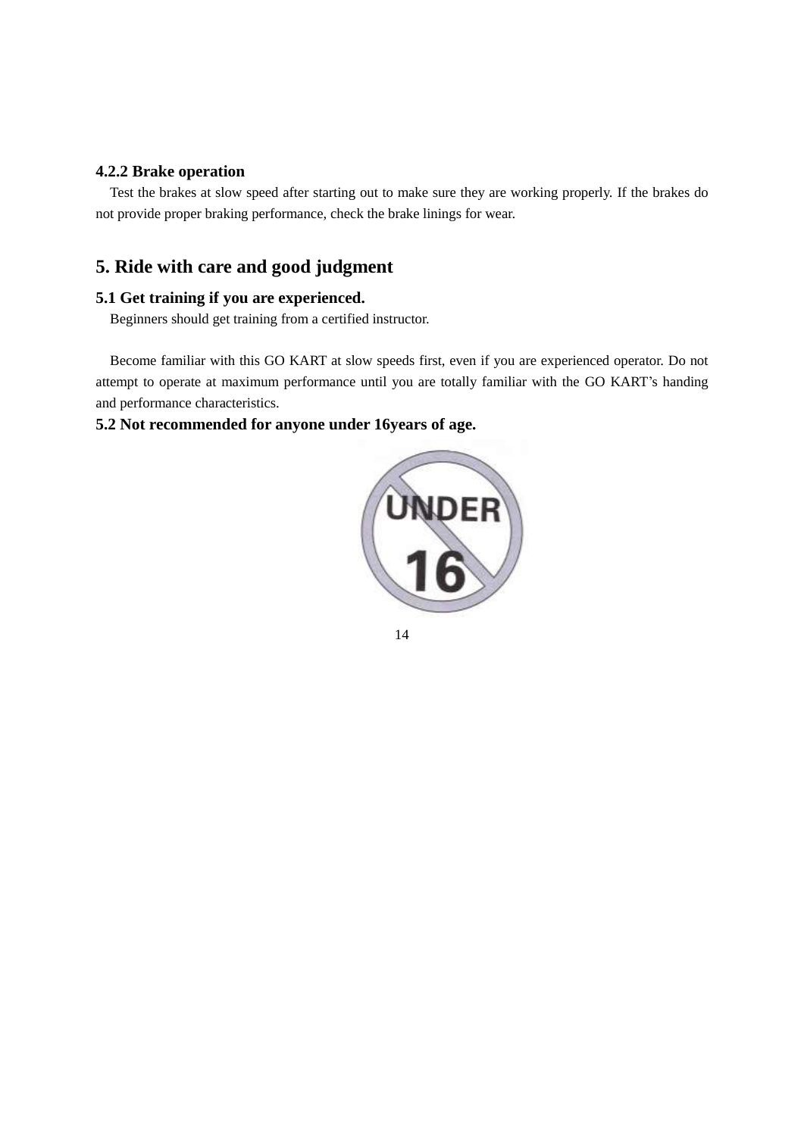## **4.2.2 Brake operation**

Test the brakes at slow speed after starting out to make sure they are working properly. If the brakes do not provide proper braking performance, check the brake linings for wear.

# **5. Ride with care and good judgment**

## **5.1 Get training if you are experienced.**

Beginners should get training from a certified instructor.

Become familiar with this GO KART at slow speeds first, even if you are experienced operator. Do not attempt to operate at maximum performance until you are totally familiar with the GO KART's handing and performance characteristics.

## **5.2 Not recommended for anyone under 16years of age.**

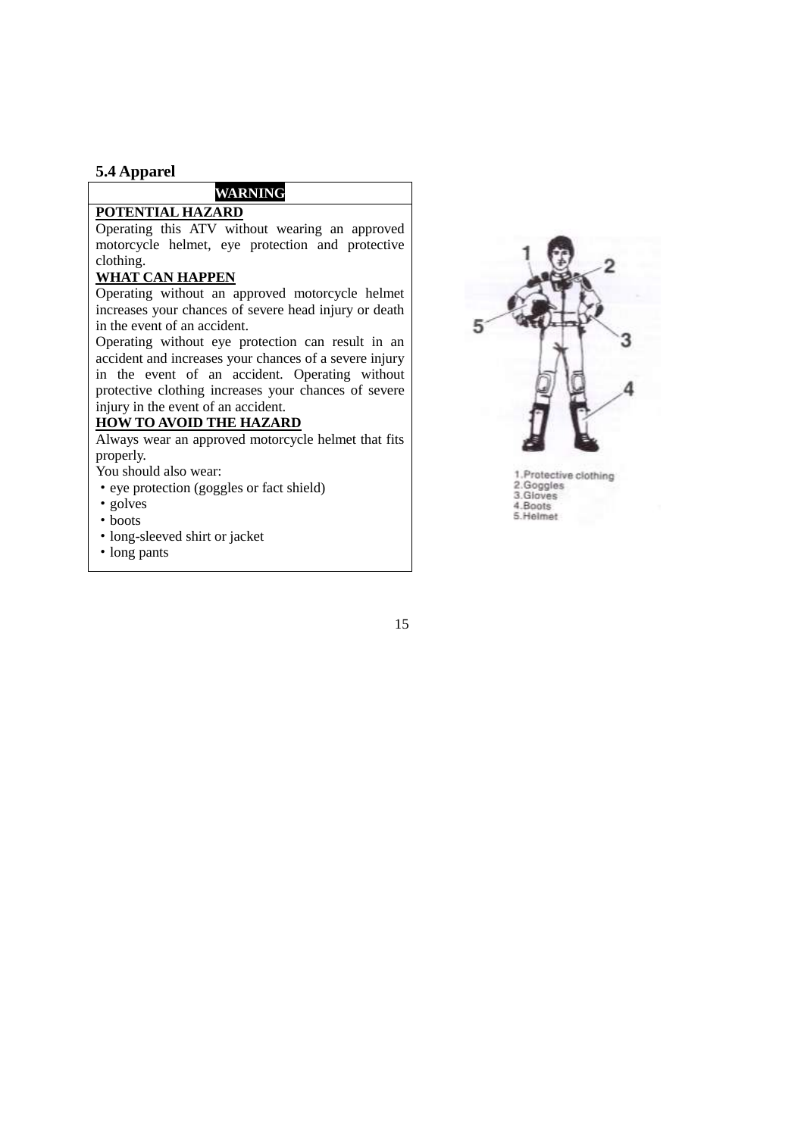#### **5.4 Apparel**

## **WARNING**

## **POTENTIAL HAZARD**

Operating this ATV without wearing an approved motorcycle helmet, eye protection and protective clothing.

#### **WHAT CAN HAPPEN**

Operating without an approved motorcycle helmet increases your chances of severe head injury or death in the event of an accident.

Operating without eye protection can result in an accident and increases your chances of a severe injury in the event of an accident. Operating without protective clothing increases your chances of severe injury in the event of an accident.

#### **HOW TO AVOID THE HAZARD**

Always wear an approved motorcycle helmet that fits properly.

You should also wear:

- ·eye protection (goggles or fact shield)
- ·golves
- boots
- ·long-sleeved shirt or jacket
- ·long pants



1.Protective clothing<br>2.Goggles<br>3.Gloves 4.Boots 5. Helmet

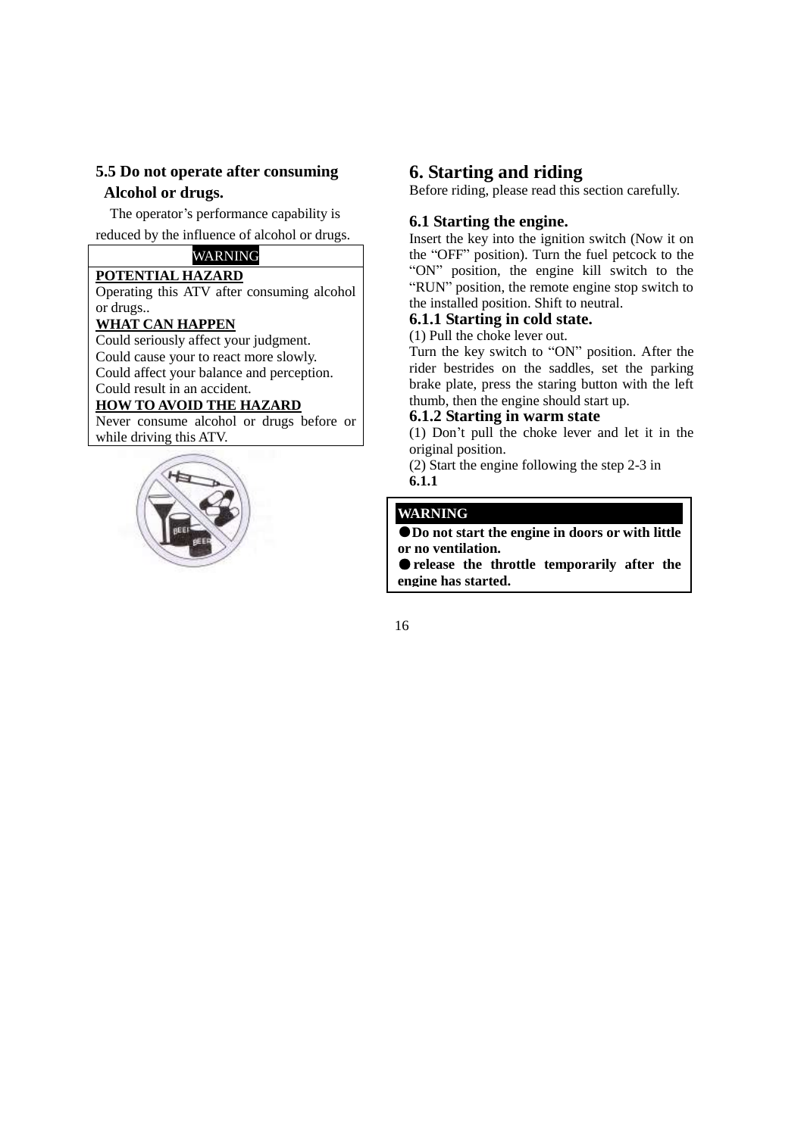## **5.5 Do not operate after consuming Alcohol or drugs.**

The operator's performance capability is

reduced by the influence of alcohol or drugs.

# WARNING

**POTENTIAL HAZARD** Operating this ATV after consuming alcohol or drugs..

### **WHAT CAN HAPPEN**

Could seriously affect your judgment. Could cause your to react more slowly. Could affect your balance and perception. Could result in an accident.

## **HOW TO AVOID THE HAZARD**

Never consume alcohol or drugs before or while driving this ATV.



## **6. Starting and riding**

Before riding, please read this section carefully.

## **6.1 Starting the engine.**

Insert the key into the ignition switch (Now it on the "OFF" position). Turn the fuel petcock to the "ON" position, the engine kill switch to the "RUN" position, the remote engine stop switch to the installed position. Shift to neutral.

## **6.1.1 Starting in cold state.**

(1) Pull the choke lever out.

Turn the key switch to "ON" position. After the rider bestrides on the saddles, set the parking brake plate, press the staring button with the left thumb, then the engine should start up.

### **6.1.2 Starting in warm state**

(1) Don't pull the choke lever and let it in the original position.

(2) Start the engine following the step 2-3 in **6.1.1**

## **WARNING**

●**Do not start the engine in doors or with little or no ventilation.**

●**release the throttle temporarily after the engine has started.**

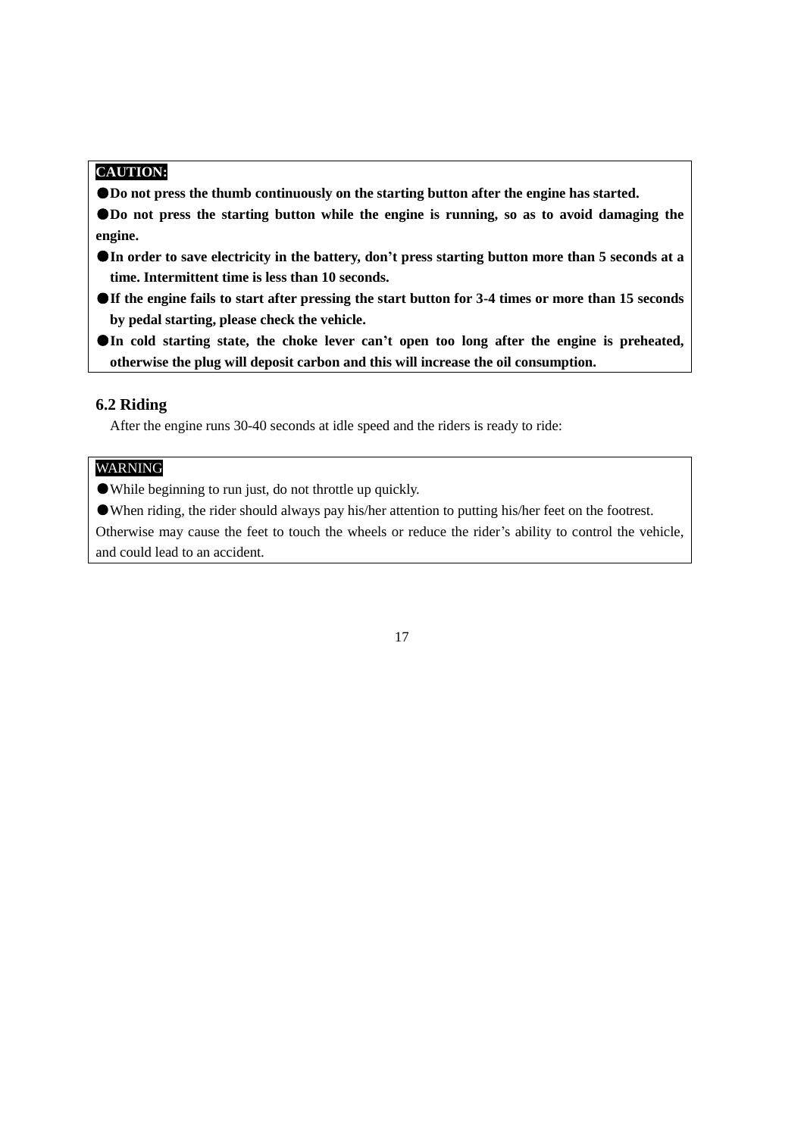## **CAUTION:**

- ●**Do not press the thumb continuously on the starting button after the engine has started.**
- ●**Do** not press the starting button while the engine is running, so as to avoid damaging the **engine.**
- ●**In order to save electricity in the battery, don't press starting button more than 5 seconds at a time. Intermittent time is less than 10 seconds.**
- **OIf the engine fails to start after pressing the start button for 3-4 times or more than 15 seconds by pedal starting, please check the vehicle.**
- ●**In cold starting state, the choke lever can't open too long after the engine is preheated, otherwise the plug will deposit carbon and this will increase the oil consumption.**

#### **6.2 Riding**

After the engine runs 30-40 seconds at idle speed and the riders is ready to ride:

## WARNING

- ●While beginning to run just, do not throttle up quickly.
- ●When riding, the rider should always pay his/her attention to putting his/her feet on the footrest.

Otherwise may cause the feet to touch the wheels or reduce the rider's ability to control the vehicle, and could lead to an accident.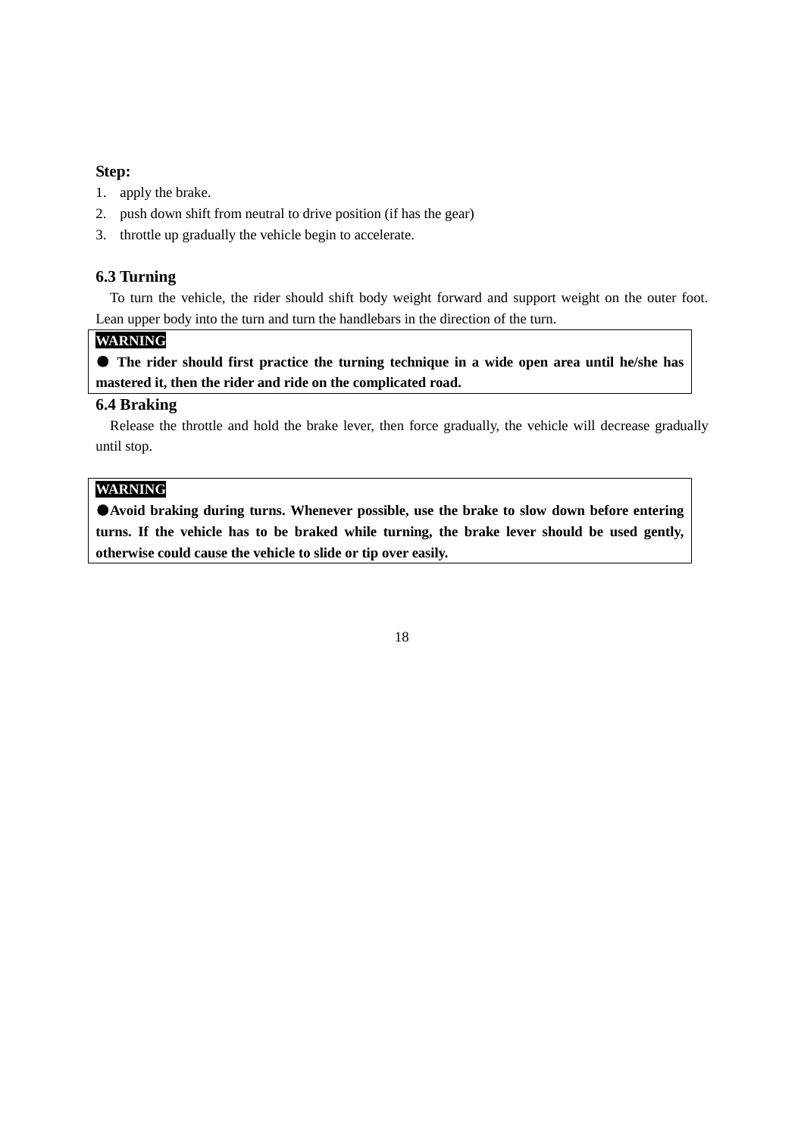#### **Step:**

- 1. apply the brake.
- 2. push down shift from neutral to drive position (if has the gear)
- 3. throttle up gradually the vehicle begin to accelerate.

## **6.3 Turning**

To turn the vehicle, the rider should shift body weight forward and support weight on the outer foot. Lean upper body into the turn and turn the handlebars in the direction of the turn.

### **WARNING**

● **The rider should first practice the turning technique in a wide open area until he/she has mastered it, then the rider and ride on the complicated road.**

## **6.4 Braking**

Release the throttle and hold the brake lever, then force gradually, the vehicle will decrease gradually until stop.

### **WARNING**

●**Avoid braking during turns. Whenever possible, use the brake to slow down before entering turns. If the vehicle has to be braked while turning, the brake lever should be used gently, otherwise could cause the vehicle to slide or tip over easily.**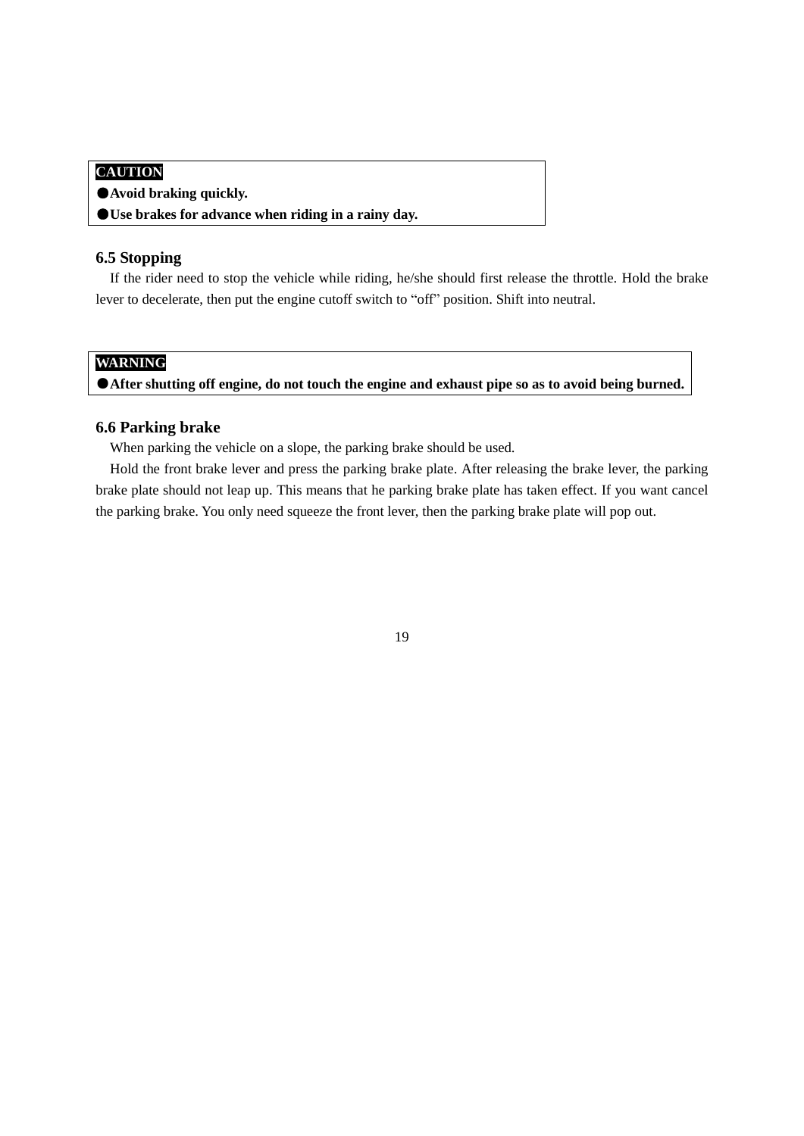## **CAUTION**

- ●**Avoid braking quickly.**
- ●**Use brakes for advance when riding in a rainy day.**

#### **6.5 Stopping**

If the rider need to stop the vehicle while riding, he/she should first release the throttle. Hold the brake lever to decelerate, then put the engine cutoff switch to "off" position. Shift into neutral.

## **WARNING**

●**After shutting off engine, do not touch the engine and exhaust pipe so as to avoid being burned.** 

#### **6.6 Parking brake**

When parking the vehicle on a slope, the parking brake should be used.

Hold the front brake lever and press the parking brake plate. After releasing the brake lever, the parking brake plate should not leap up. This means that he parking brake plate has taken effect. If you want cancel the parking brake. You only need squeeze the front lever, then the parking brake plate will pop out.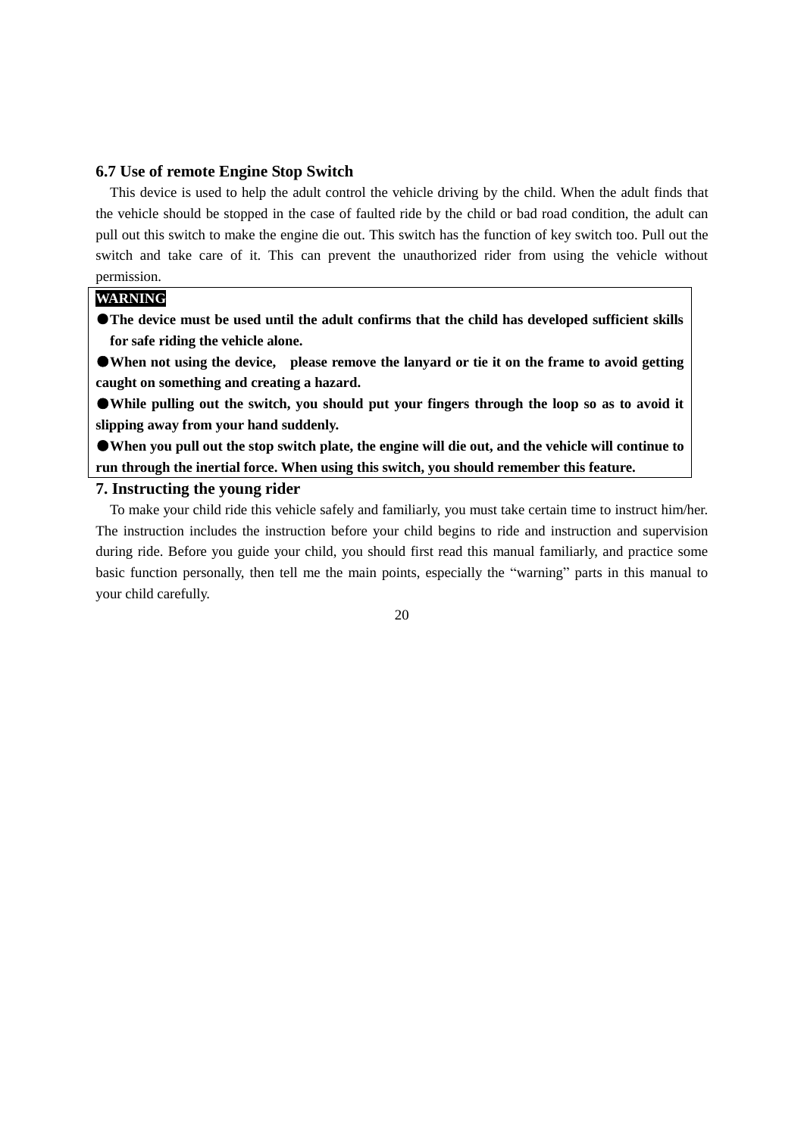#### **6.7 Use of remote Engine Stop Switch**

This device is used to help the adult control the vehicle driving by the child. When the adult finds that the vehicle should be stopped in the case of faulted ride by the child or bad road condition, the adult can pull out this switch to make the engine die out. This switch has the function of key switch too. Pull out the switch and take care of it. This can prevent the unauthorized rider from using the vehicle without permission.

#### **WARNING**

**The device must be used until the adult confirms that the child has developed sufficient skills for safe riding the vehicle alone.**

● When not using the device, please remove the lanyard or tie it on the frame to avoid getting **caught on something and creating a hazard.**

●**While pulling out the switch, you should put your fingers through the loop so as to avoid it slipping away from your hand suddenly.**

●**When you pull out the stop switch plate, the engine will die out, and the vehicle will continue to run through the inertial force. When using this switch, you should remember this feature.**

#### **7. Instructing the young rider**

To make your child ride this vehicle safely and familiarly, you must take certain time to instruct him/her. The instruction includes the instruction before your child begins to ride and instruction and supervision during ride. Before you guide your child, you should first read this manual familiarly, and practice some basic function personally, then tell me the main points, especially the "warning" parts in this manual to your child carefully.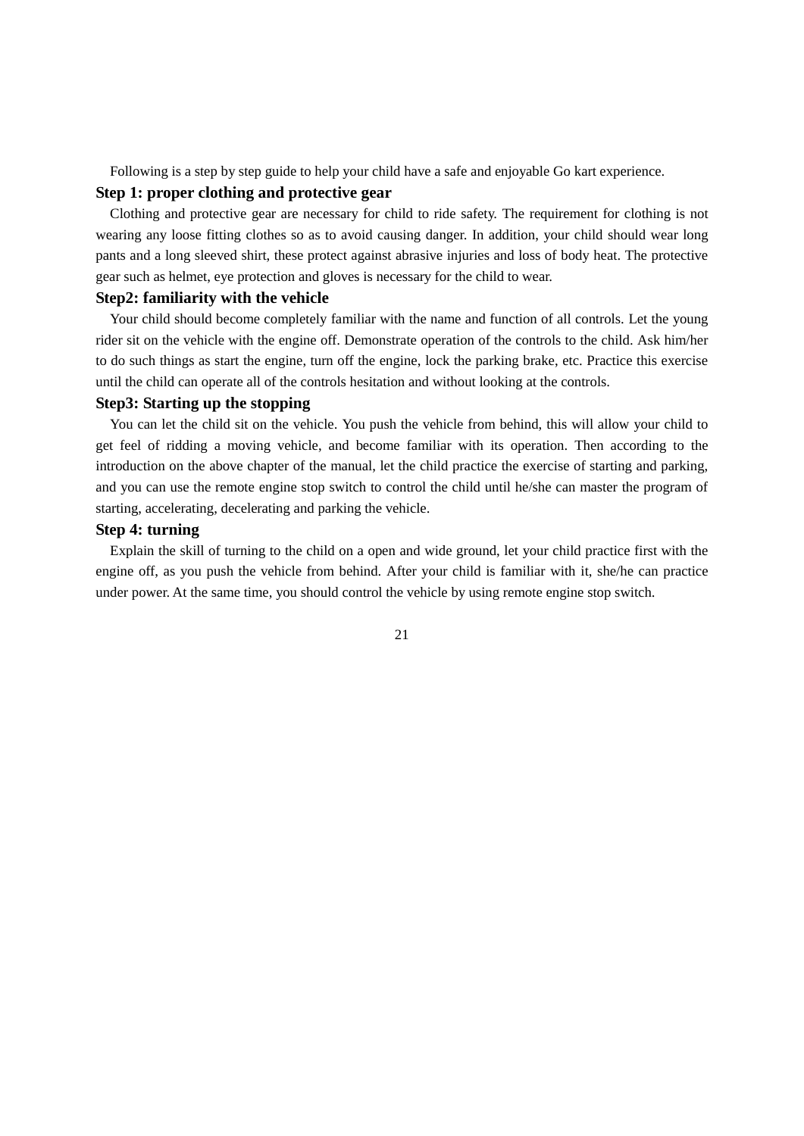Following is a step by step guide to help your child have a safe and enjoyable Go kart experience.

#### **Step 1: proper clothing and protective gear**

Clothing and protective gear are necessary for child to ride safety. The requirement for clothing is not wearing any loose fitting clothes so as to avoid causing danger. In addition, your child should wear long pants and a long sleeved shirt, these protect against abrasive injuries and loss of body heat. The protective gear such as helmet, eye protection and gloves is necessary for the child to wear.

#### **Step2: familiarity with the vehicle**

Your child should become completely familiar with the name and function of all controls. Let the young rider sit on the vehicle with the engine off. Demonstrate operation of the controls to the child. Ask him/her to do such things as start the engine, turn off the engine, lock the parking brake, etc. Practice this exercise until the child can operate all of the controls hesitation and without looking at the controls.

#### **Step3: Starting up the stopping**

You can let the child sit on the vehicle. You push the vehicle from behind, this will allow your child to get feel of ridding a moving vehicle, and become familiar with its operation. Then according to the introduction on the above chapter of the manual, let the child practice the exercise of starting and parking, and you can use the remote engine stop switch to control the child until he/she can master the program of starting, accelerating, decelerating and parking the vehicle.

#### **Step 4: turning**

Explain the skill of turning to the child on a open and wide ground, let your child practice first with the engine off, as you push the vehicle from behind. After your child is familiar with it, she/he can practice under power. At the same time, you should control the vehicle by using remote engine stop switch.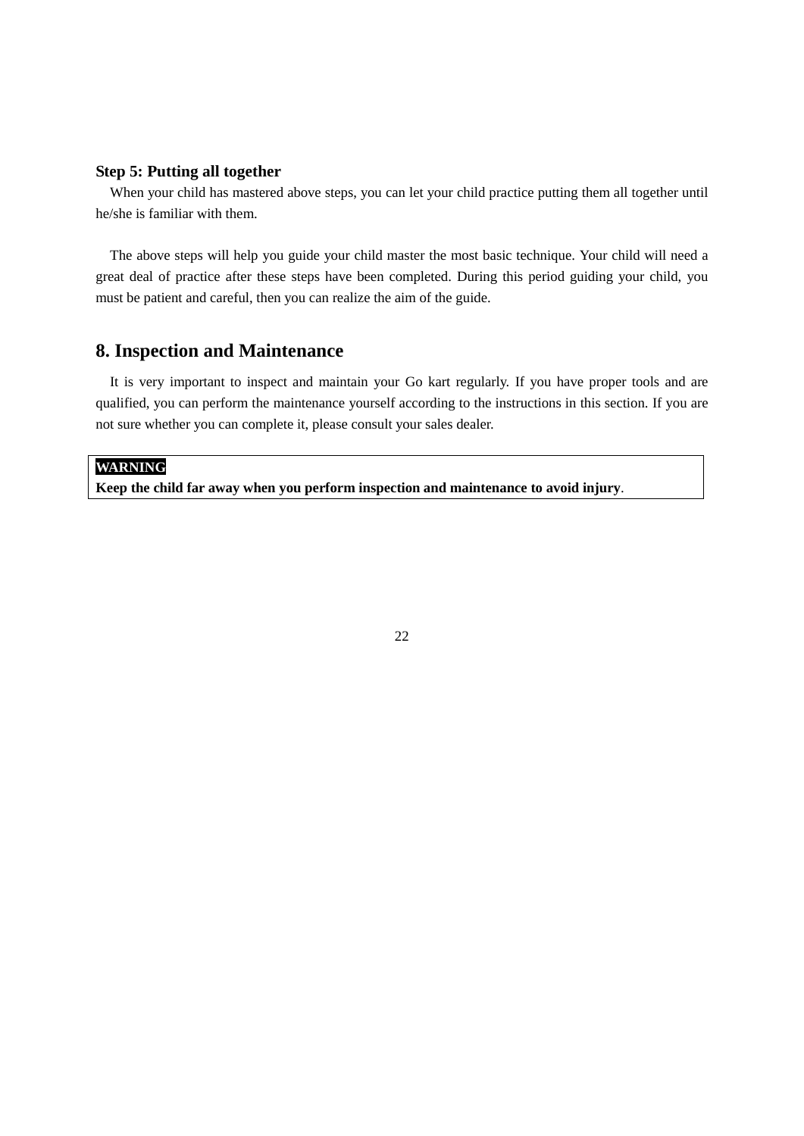## **Step 5: Putting all together**

When your child has mastered above steps, you can let your child practice putting them all together until he/she is familiar with them.

The above steps will help you guide your child master the most basic technique. Your child will need a great deal of practice after these steps have been completed. During this period guiding your child, you must be patient and careful, then you can realize the aim of the guide.

# **8. Inspection and Maintenance**

It is very important to inspect and maintain your Go kart regularly. If you have proper tools and are qualified, you can perform the maintenance yourself according to the instructions in this section. If you are not sure whether you can complete it, please consult your sales dealer.

## **WARNING**

**Keep the child far away when you perform inspection and maintenance to avoid injury**.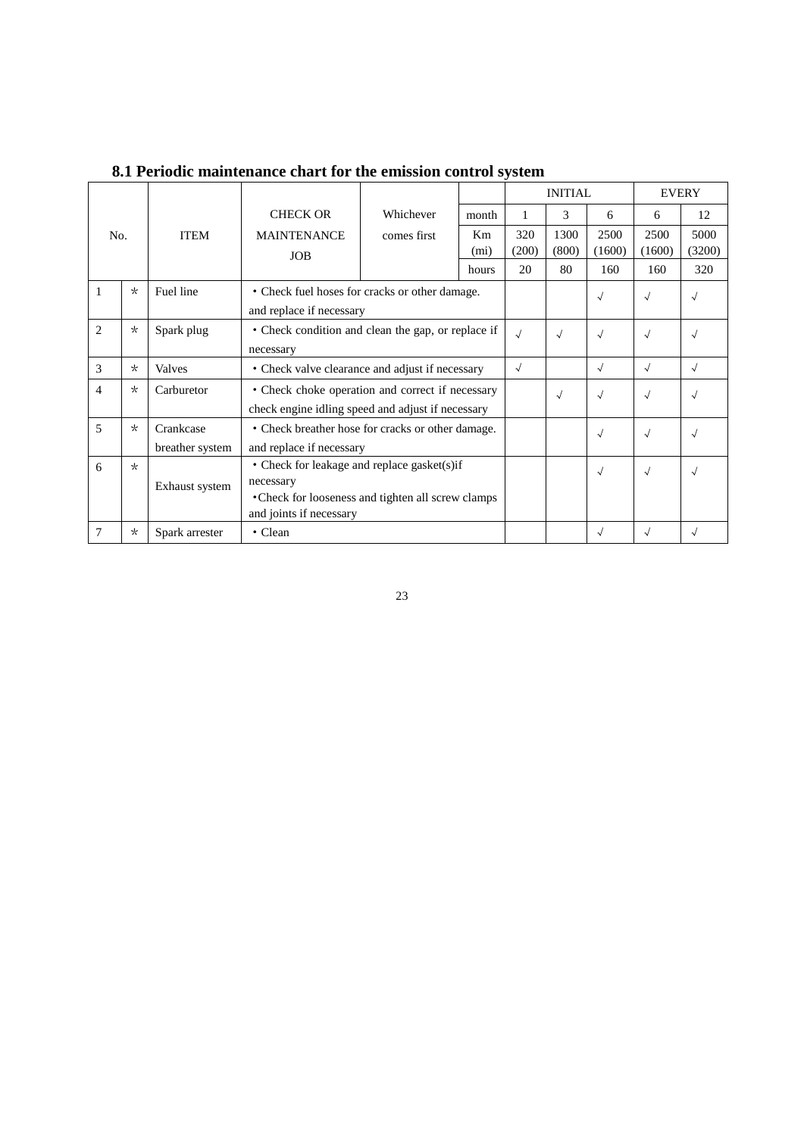|                |          |                 |                                                    |                                                   |                   | <b>INITIAL</b> |            | <b>EVERY</b> |            |            |
|----------------|----------|-----------------|----------------------------------------------------|---------------------------------------------------|-------------------|----------------|------------|--------------|------------|------------|
|                |          |                 | <b>CHECK OR</b>                                    | Whichever                                         | month             | 1              | 3          | 6            | 6          | 12         |
| No.            |          | <b>ITEM</b>     | <b>MAINTENANCE</b>                                 | comes first                                       | K <sub>m</sub>    | 320            | 1300       | 2500         | 2500       | 5000       |
|                |          |                 | <b>JOB</b>                                         |                                                   | (m <sub>i</sub> ) | (200)          | (800)      | (1600)       | (1600)     | (3200)     |
|                |          |                 |                                                    |                                                   | hours             | 20             | 80         | 160          | 160        | 320        |
| 1              | $\star$  | Fuel line       | • Check fuel hoses for cracks or other damage.     |                                                   |                   |                |            | $\sqrt{ }$   | $\sqrt{ }$ | $\sqrt{ }$ |
|                |          |                 | and replace if necessary                           |                                                   |                   |                |            |              |            |            |
| 2              | $\star$  | Spark plug      | • Check condition and clean the gap, or replace if |                                                   |                   | $\sqrt{2}$     | $\sqrt{ }$ | $\sqrt{ }$   | $\sqrt{ }$ | $\sqrt{}$  |
|                |          |                 | necessary                                          |                                                   |                   |                |            |              |            |            |
| 3              | $\star$  | Valves          |                                                    | • Check valve clearance and adjust if necessary   |                   |                |            |              | $\sqrt{}$  | $\sqrt{ }$ |
| $\overline{4}$ | $\star$  | Carburetor      | • Check choke operation and correct if necessary   |                                                   |                   |                | $\sqrt{ }$ | $\sqrt{ }$   | $\sqrt{ }$ | $\sim$     |
|                |          |                 |                                                    | check engine idling speed and adjust if necessary |                   |                |            |              |            |            |
| 5              | $\star$  | Crankcase       | • Check breather hose for cracks or other damage.  |                                                   |                   |                |            | $\sqrt{ }$   | $\sqrt{ }$ | $\sqrt{ }$ |
|                |          | breather system |                                                    | and replace if necessary                          |                   |                |            |              |            |            |
| 6              | $\star$  |                 |                                                    | • Check for leakage and replace gasket(s) if      |                   |                |            |              | $\sqrt{ }$ | $\sim$     |
|                |          | Exhaust system  | necessary                                          |                                                   |                   |                |            | $\sqrt{ }$   |            |            |
|                |          |                 | • Check for looseness and tighten all screw clamps |                                                   |                   |                |            |              |            |            |
|                |          |                 | and joints if necessary                            |                                                   |                   |                |            |              |            |            |
| 7              | $^\star$ | Spark arrester  | • Clean                                            |                                                   |                   |                |            | $\sqrt{ }$   | $\sqrt{}$  | $\sqrt{}$  |

 **8.1 Periodic maintenance chart for the emission control system**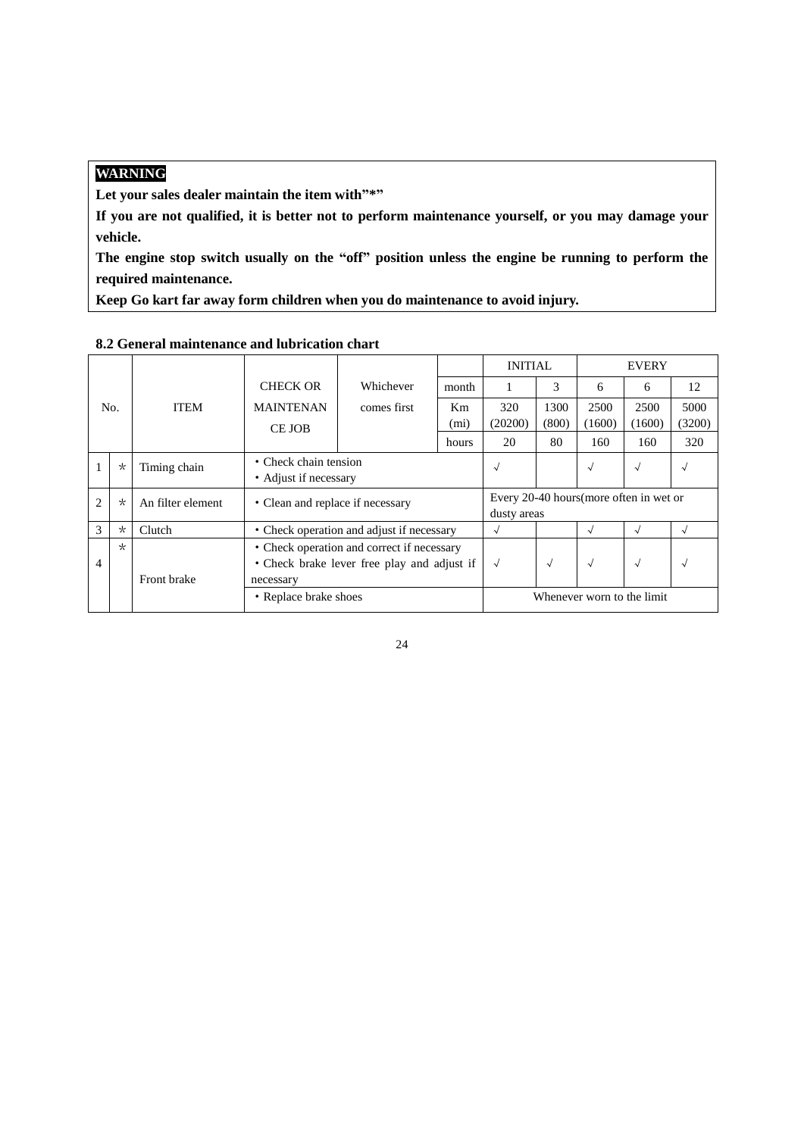# **WARNING**

Let your sales dealer maintain the item with"\*"

**If you are not qualified, it is better not to perform maintenance yourself, or you may damage your vehicle.**

**The engine stop switch usually on the "off" position unless the engine be running to perform the required maintenance.**

**Keep Go kart far away form children when you do maintenance to avoid injury.**

|                |          |                   |                                             |                                                |                   | <b>INITIAL</b>             |            |                                         | <b>EVERY</b> |            |
|----------------|----------|-------------------|---------------------------------------------|------------------------------------------------|-------------------|----------------------------|------------|-----------------------------------------|--------------|------------|
|                |          |                   | <b>CHECK OR</b>                             | Whichever                                      | month             |                            | 3          | 6                                       | 6            | 12         |
|                | No.      | <b>ITEM</b>       | <b>MAINTENAN</b>                            | comes first                                    | Km                | 320                        | 1300       | 2500                                    | 2500         | 5000       |
|                |          |                   | CE JOB                                      |                                                | (m <sub>i</sub> ) | (20200)                    | (800)      | (1600)                                  | (1600)       | (3200)     |
|                |          |                   |                                             |                                                | hours             | 20                         | 80         | 160                                     | 160          | 320        |
|                | $^\star$ | Timing chain      |                                             | • Check chain tension<br>• Adjust if necessary |                   |                            |            | $\sqrt{ }$                              | $\sqrt{ }$   | $\sqrt{ }$ |
| $\overline{2}$ | $\star$  | An filter element |                                             | • Clean and replace if necessary               |                   |                            |            | Every 20-40 hours (more often in wet or |              |            |
| 3              | $\star$  | Clutch            |                                             | • Check operation and adjust if necessary      |                   | $\sqrt{}$                  |            | $\sqrt{}$                               | √            | $\sim$     |
|                | $\star$  |                   |                                             | • Check operation and correct if necessary     |                   |                            |            |                                         |              |            |
| $\overline{4}$ |          |                   | • Check brake lever free play and adjust if | $\sqrt{ }$                                     | $\sqrt{}$         | $\sqrt{ }$                 | $\sqrt{ }$ | $\sim$                                  |              |            |
|                |          | Front brake       | necessary                                   |                                                |                   |                            |            |                                         |              |            |
|                |          |                   | • Replace brake shoes                       |                                                |                   | Whenever worn to the limit |            |                                         |              |            |

#### **8.2 General maintenance and lubrication chart**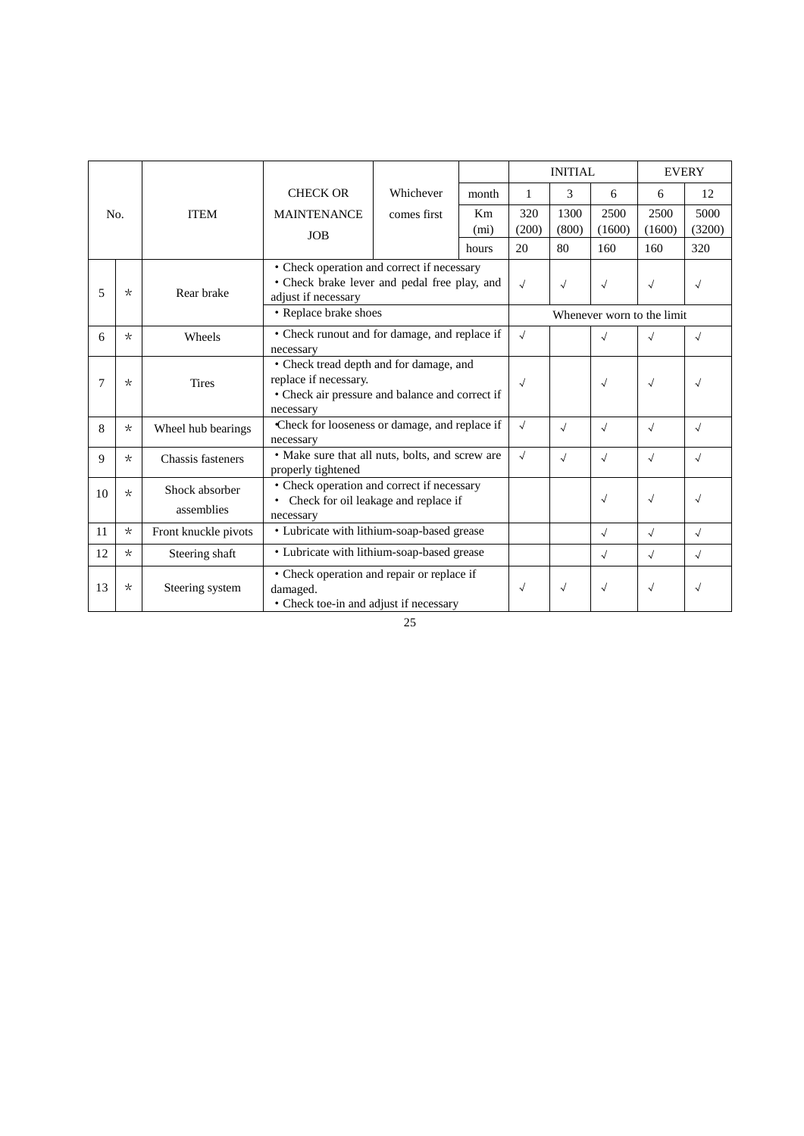|     |          |                              |                                                                                                                   |                                                                                            | <b>INITIAL</b>          |              | <b>EVERY</b>  |                            |                |                |
|-----|----------|------------------------------|-------------------------------------------------------------------------------------------------------------------|--------------------------------------------------------------------------------------------|-------------------------|--------------|---------------|----------------------------|----------------|----------------|
|     |          |                              | <b>CHECK OR</b>                                                                                                   | Whichever                                                                                  | month                   | 1            | 3             | 6                          | 6              | 12             |
| No. |          | <b>ITEM</b>                  | <b>MAINTENANCE</b><br><b>JOB</b>                                                                                  | comes first                                                                                | Km<br>(m <sub>i</sub> ) | 320<br>(200) | 1300<br>(800) | 2500<br>(1600)             | 2500<br>(1600) | 5000<br>(3200) |
|     |          |                              |                                                                                                                   |                                                                                            | hours                   | 20           | 80            | 160                        | 160            | 320            |
| 5   | $\star$  | Rear brake                   | • Check operation and correct if necessary<br>• Check brake lever and pedal free play, and<br>adjust if necessary |                                                                                            |                         | $\sqrt{}$    | $\sqrt{}$     | $\sqrt{}$                  | $\sqrt{ }$     | √              |
|     |          |                              | • Replace brake shoes                                                                                             |                                                                                            |                         |              |               | Whenever worn to the limit |                |                |
| 6   | $\star$  | Wheels                       | necessary                                                                                                         | • Check runout and for damage, and replace if                                              |                         |              |               | $\sqrt{}$                  | $\sqrt{}$      |                |
| 7   | $\star$  | <b>Tires</b>                 | replace if necessary.<br>necessary                                                                                | • Check tread depth and for damage, and<br>• Check air pressure and balance and correct if |                         |              |               |                            | $\sqrt{}$      |                |
| 8   | $\star$  | Wheel hub bearings           | necessary                                                                                                         | Check for looseness or damage, and replace if                                              |                         |              |               | $\sqrt{ }$                 | $\sqrt{ }$     | $\sqrt{}$      |
| 9   | $^\star$ | Chassis fasteners            | properly tightened                                                                                                | • Make sure that all nuts, bolts, and screw are                                            |                         |              |               | $\sqrt{ }$                 | $\sqrt{ }$     |                |
| 10  | $\star$  | Shock absorber<br>assemblies | • Check operation and correct if necessary<br>Check for oil leakage and replace if<br>necessary                   |                                                                                            |                         |              | $\sqrt{ }$    | $\sqrt{ }$                 |                |                |
| 11  | $\star$  | Front knuckle pivots         |                                                                                                                   | • Lubricate with lithium-soap-based grease                                                 |                         |              |               | $\sqrt{ }$                 | $\sqrt{ }$     | $\sqrt{ }$     |
| 12  | $\star$  | Steering shaft               | • Lubricate with lithium-soap-based grease                                                                        |                                                                                            |                         |              |               | $\sqrt{ }$                 | $\sqrt{}$      | $\sqrt{}$      |
| 13  | $\star$  | Steering system              | • Check operation and repair or replace if<br>damaged.<br>• Check toe-in and adjust if necessary                  |                                                                                            |                         | $\sqrt{}$    | $\sqrt{}$     | $\sqrt{}$                  | $\sqrt{}$      |                |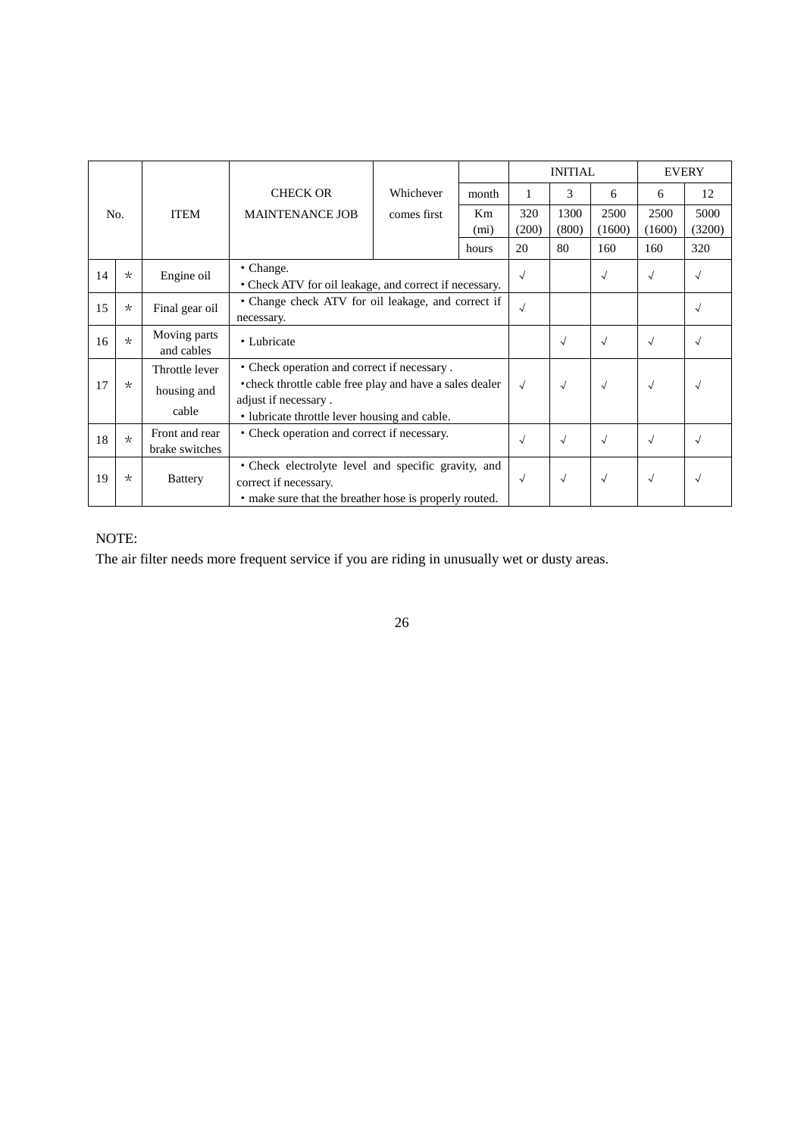|     |         |                                        |                                                                                                                                        |                                                                                                                                                          |                         |              | <b>INITIAL</b> |                | <b>EVERY</b>   |                |
|-----|---------|----------------------------------------|----------------------------------------------------------------------------------------------------------------------------------------|----------------------------------------------------------------------------------------------------------------------------------------------------------|-------------------------|--------------|----------------|----------------|----------------|----------------|
| No. |         |                                        | <b>CHECK OR</b>                                                                                                                        | Whichever                                                                                                                                                | month                   |              | 3              | 6              | 6              | 12             |
|     |         | <b>ITEM</b>                            | <b>MAINTENANCE JOB</b>                                                                                                                 | comes first                                                                                                                                              | Km<br>(m <sub>i</sub> ) | 320<br>(200) | 1300<br>(800)  | 2500<br>(1600) | 2500<br>(1600) | 5000<br>(3200) |
|     |         |                                        |                                                                                                                                        |                                                                                                                                                          | hours                   | 20           | 80             | 160            | 160            | 320            |
| 14  | $\star$ | Engine oil                             | • Change.                                                                                                                              | • Check ATV for oil leakage, and correct if necessary.                                                                                                   |                         |              |                |                | $\sqrt{ }$     | $\sqrt{ }$     |
| 15  | $\star$ | Final gear oil                         | necessary.                                                                                                                             | • Change check ATV for oil leakage, and correct if                                                                                                       |                         |              |                |                |                | $\sqrt{}$      |
| 16  | $\star$ | Moving parts<br>and cables             | • Lubricate                                                                                                                            |                                                                                                                                                          |                         |              |                |                | $\sqrt{ }$     |                |
| 17  | $\star$ | Throttle lever<br>housing and<br>cable | adjust if necessary.                                                                                                                   | • Check operation and correct if necessary.<br>• check throttle cable free play and have a sales dealer<br>• lubricate throttle lever housing and cable. |                         |              |                |                | $\sqrt{ }$     |                |
| 18  | $\star$ | Front and rear<br>brake switches       | • Check operation and correct if necessary.                                                                                            |                                                                                                                                                          | $\sqrt{ }$              | $\sqrt{ }$   |                | $\sqrt{ }$     |                |                |
| 19  | $\star$ | <b>Battery</b>                         | • Check electrolyte level and specific gravity, and<br>correct if necessary.<br>• make sure that the breather hose is properly routed. |                                                                                                                                                          |                         | $\sqrt{ }$   | $\sqrt{ }$     | $\sqrt{ }$     | $\sqrt{ }$     |                |

# NOTE:

The air filter needs more frequent service if you are riding in unusually wet or dusty areas.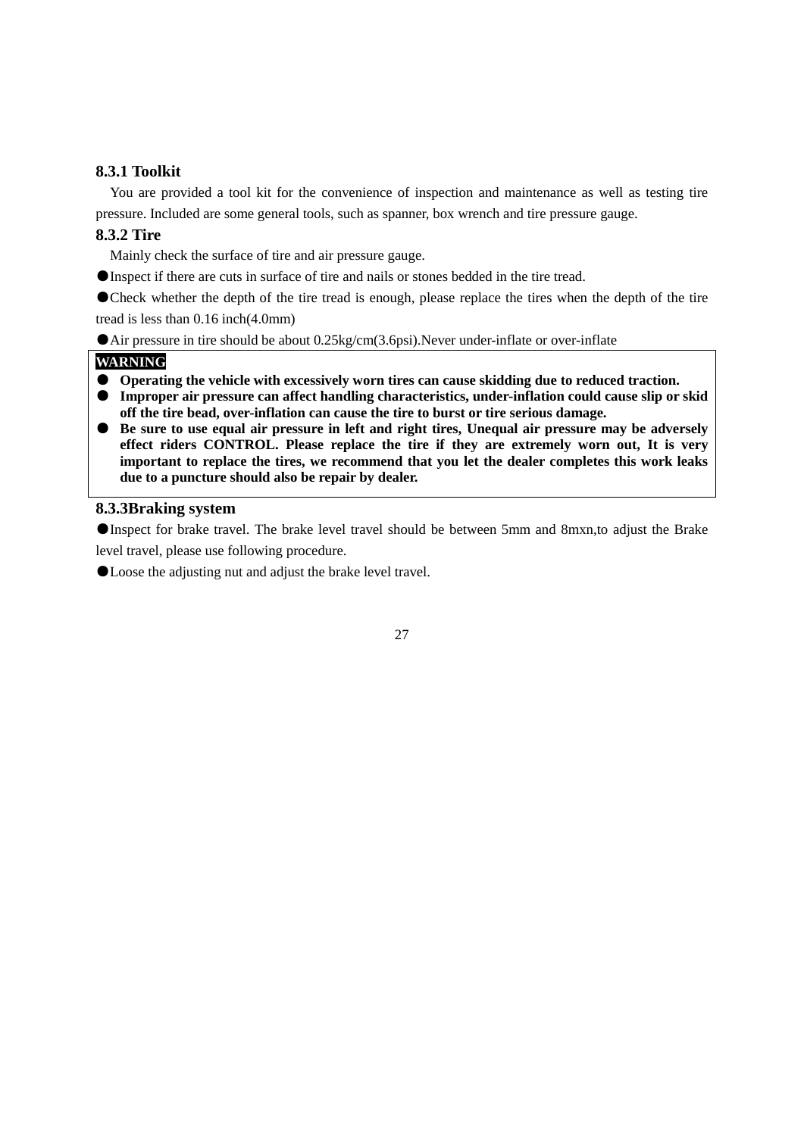#### **8.3.1 Toolkit**

You are provided a tool kit for the convenience of inspection and maintenance as well as testing tire pressure. Included are some general tools, such as spanner, box wrench and tire pressure gauge.

## **8.3.2 Tire**

Mainly check the surface of tire and air pressure gauge.

●Inspect if there are cuts in surface of tire and nails or stones bedded in the tire tread.

●Check whether the depth of the tire tread is enough, please replace the tires when the depth of the tire tread is less than 0.16 inch(4.0mm)

● Air pressure in tire should be about 0.25kg/cm(3.6psi).Never under-inflate or over-inflate

#### **WARNING**

- **Operating the vehicle with excessively worn tires can cause skidding due to reduced traction.**
- **Improper air pressure can affect handling characteristics, under-inflation could cause slip or skid off the tire bead, over-inflation can cause the tire to burst or tire serious damage.**
- **Be sure to use equal air pressure in left and right tires, Unequal air pressure may be adversely effect riders CONTROL. Please replace the tire if they are extremely worn out, It is very important to replace the tires, we recommend that you let the dealer completes this work leaks due to a puncture should also be repair by dealer.**

#### **8.3.3Braking system**

●Inspect for brake travel. The brake level travel should be between 5mm and 8mxn,to adjust the Brake level travel, please use following procedure.

●Loose the adjusting nut and adjust the brake level travel.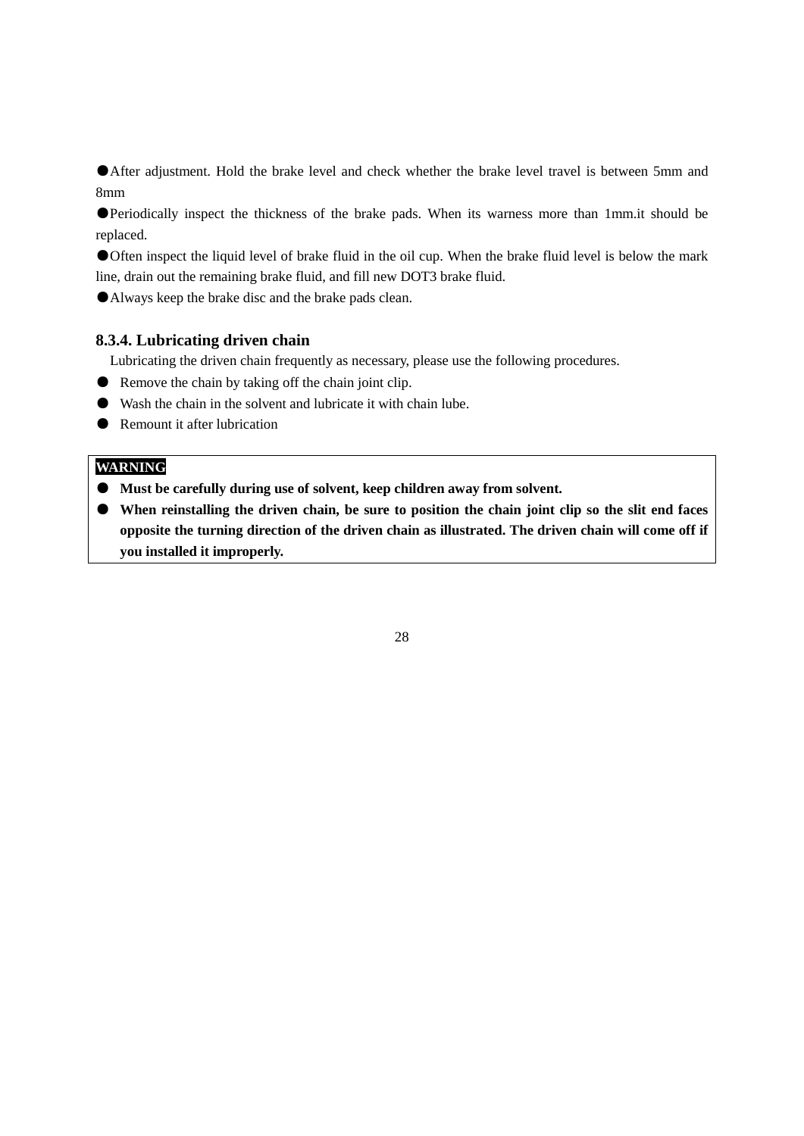●After adjustment. Hold the brake level and check whether the brake level travel is between 5mm and 8mm

●Periodically inspect the thickness of the brake pads. When its warness more than 1mm.it should be replaced.

●Often inspect the liquid level of brake fluid in the oil cup. When the brake fluid level is below the mark line, drain out the remaining brake fluid, and fill new DOT3 brake fluid.

●Always keep the brake disc and the brake pads clean.

#### **8.3.4. Lubricating driven chain**

Lubricating the driven chain frequently as necessary, please use the following procedures.

- Remove the chain by taking off the chain joint clip.
- Wash the chain in the solvent and lubricate it with chain lube.
- Remount it after lubrication

## **WARNING**

- **Must be carefully during use of solvent, keep children away from solvent.**
- **When reinstalling the driven chain, be sure to position the chain joint clip so the slit end faces opposite the turning direction of the driven chain as illustrated. The driven chain will come off if you installed it improperly.**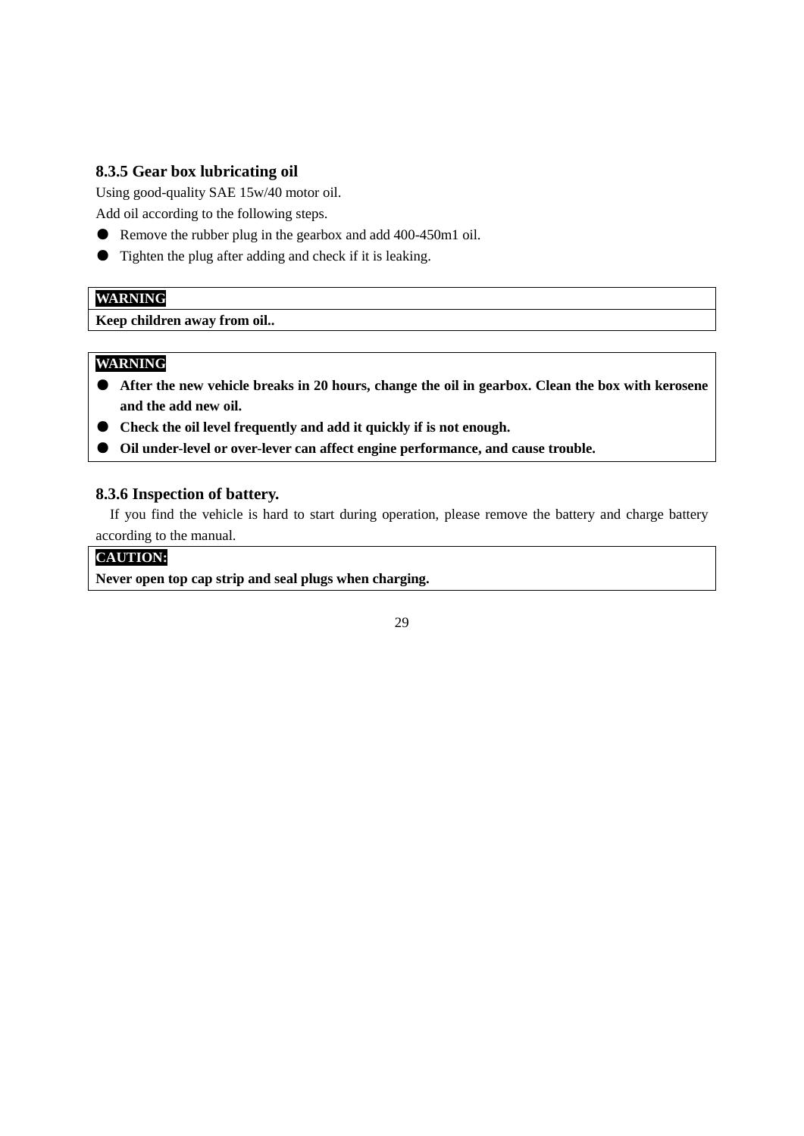## **8.3.5 Gear box lubricating oil**

Using good-quality SAE 15w/40 motor oil.

Add oil according to the following steps.

- Remove the rubber plug in the gearbox and add 400-450m1 oil.
- Tighten the plug after adding and check if it is leaking.

## **WARNING**

**Keep children away from oil..**

## **WARNING**

- **After the new vehicle breaks in 20 hours, change the oil in gearbox. Clean the box with kerosene and the add new oil.**
- **Check the oil level frequently and add it quickly if is not enough.**
- **Oil under-level or over-lever can affect engine performance, and cause trouble.**

### **8.3.6 Inspection of battery.**

If you find the vehicle is hard to start during operation, please remove the battery and charge battery according to the manual.

## **CAUTION:**

**Never open top cap strip and seal plugs when charging.**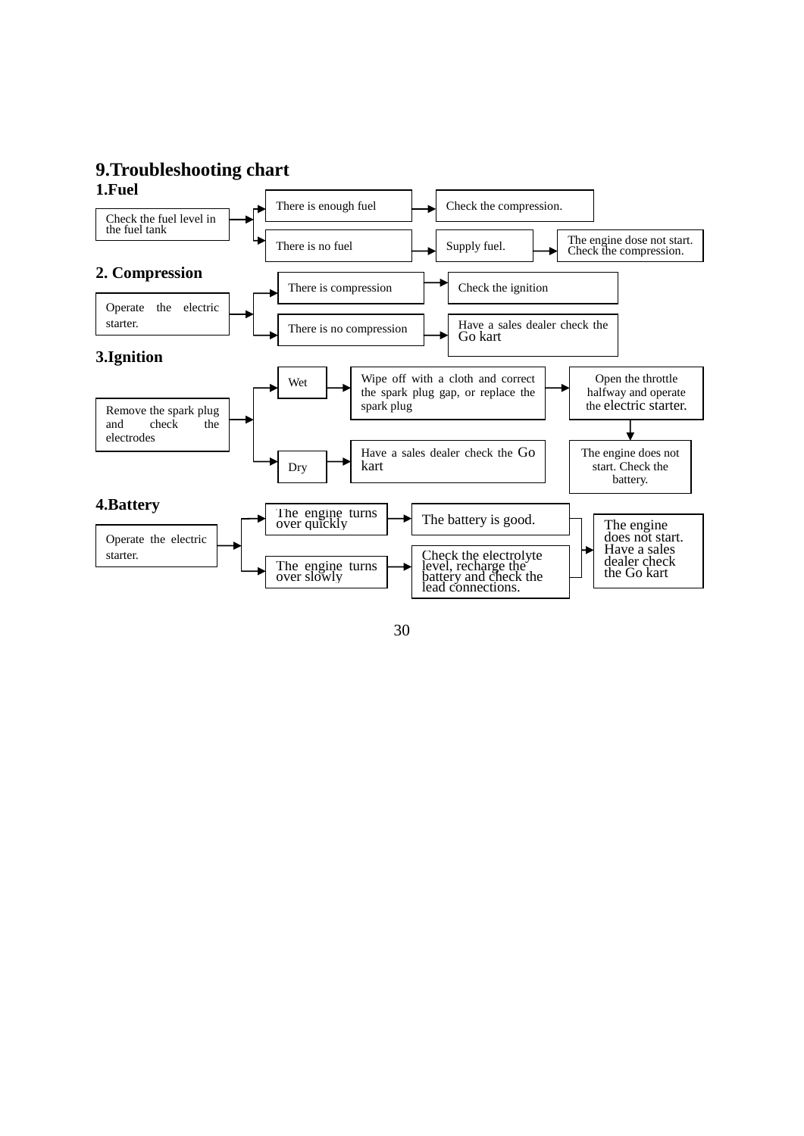## **9.Troubleshooting chart 1.Fuel**



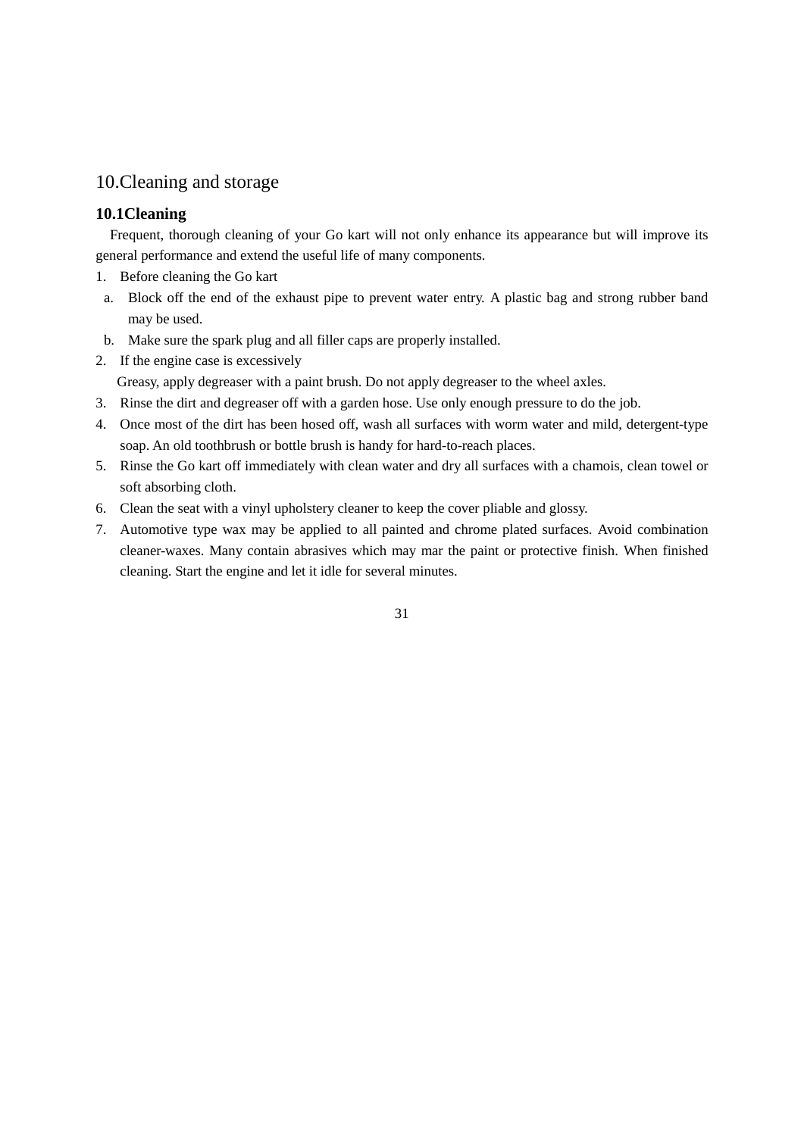## 10.Cleaning and storage

## **10.1Cleaning**

Frequent, thorough cleaning of your Go kart will not only enhance its appearance but will improve its general performance and extend the useful life of many components.

- 1. Before cleaning the Go kart
- a. Block off the end of the exhaust pipe to prevent water entry. A plastic bag and strong rubber band may be used.
- b. Make sure the spark plug and all filler caps are properly installed.
- 2. If the engine case is excessively

Greasy, apply degreaser with a paint brush. Do not apply degreaser to the wheel axles.

- 3. Rinse the dirt and degreaser off with a garden hose. Use only enough pressure to do the job.
- 4. Once most of the dirt has been hosed off, wash all surfaces with worm water and mild, detergent-type soap. An old toothbrush or bottle brush is handy for hard-to-reach places.
- 5. Rinse the Go kart off immediately with clean water and dry all surfaces with a chamois, clean towel or soft absorbing cloth.
- 6. Clean the seat with a vinyl upholstery cleaner to keep the cover pliable and glossy.
- 7. Automotive type wax may be applied to all painted and chrome plated surfaces. Avoid combination cleaner-waxes. Many contain abrasives which may mar the paint or protective finish. When finished cleaning. Start the engine and let it idle for several minutes.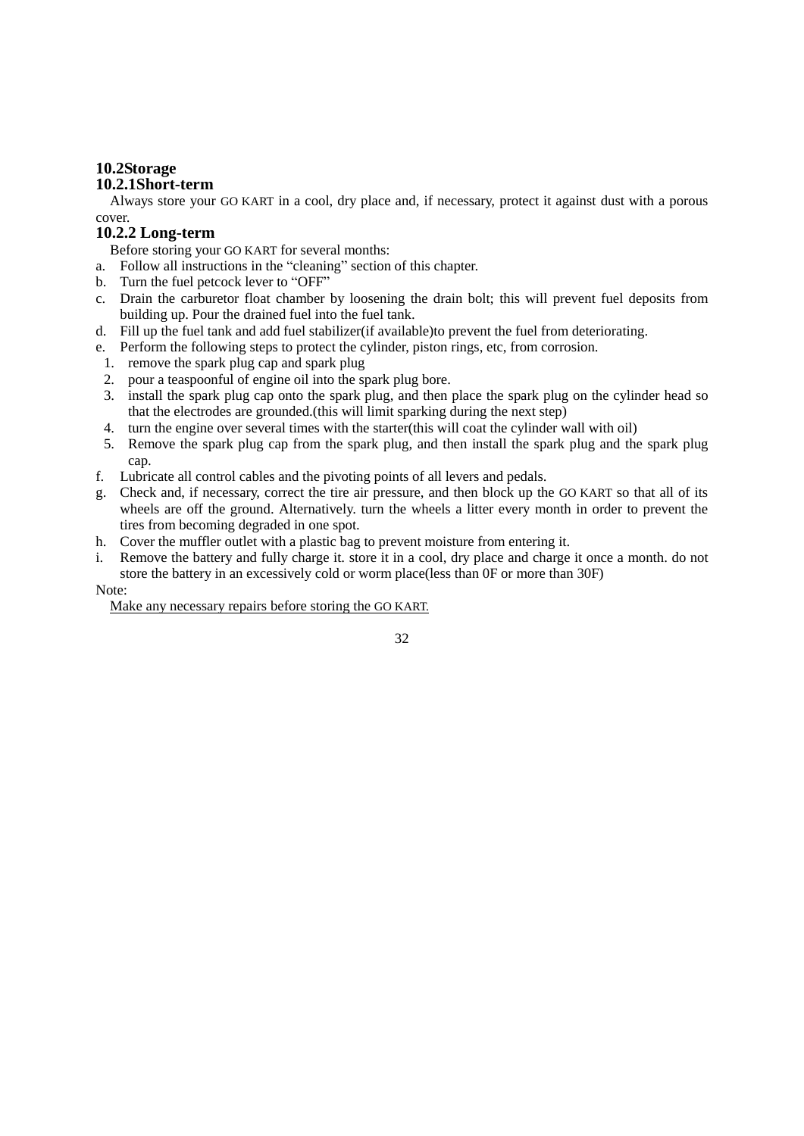## **10.2Storage**

#### **10.2.1Short-term**

Always store your GO KART in a cool, dry place and, if necessary, protect it against dust with a porous cover.

## **10.2.2 Long-term**

Before storing your GO KART for several months:

- a. Follow all instructions in the "cleaning" section of this chapter.
- b. Turn the fuel petcock lever to "OFF"
- c. Drain the carburetor float chamber by loosening the drain bolt; this will prevent fuel deposits from building up. Pour the drained fuel into the fuel tank.
- d. Fill up the fuel tank and add fuel stabilizer(if available)to prevent the fuel from deteriorating.
- e. Perform the following steps to protect the cylinder, piston rings, etc, from corrosion.
- 1. remove the spark plug cap and spark plug
- 2. pour a teaspoonful of engine oil into the spark plug bore.
- 3. install the spark plug cap onto the spark plug, and then place the spark plug on the cylinder head so that the electrodes are grounded.(this will limit sparking during the next step)
- 4. turn the engine over several times with the starter(this will coat the cylinder wall with oil)
- 5. Remove the spark plug cap from the spark plug, and then install the spark plug and the spark plug cap.
- f. Lubricate all control cables and the pivoting points of all levers and pedals.
- g. Check and, if necessary, correct the tire air pressure, and then block up the GO KART so that all of its wheels are off the ground. Alternatively. turn the wheels a litter every month in order to prevent the tires from becoming degraded in one spot.
- h. Cover the muffler outlet with a plastic bag to prevent moisture from entering it.
- i. Remove the battery and fully charge it. store it in a cool, dry place and charge it once a month. do not store the battery in an excessively cold or worm place(less than 0F or more than 30F)

#### Note:

Make any necessary repairs before storing the GO KART.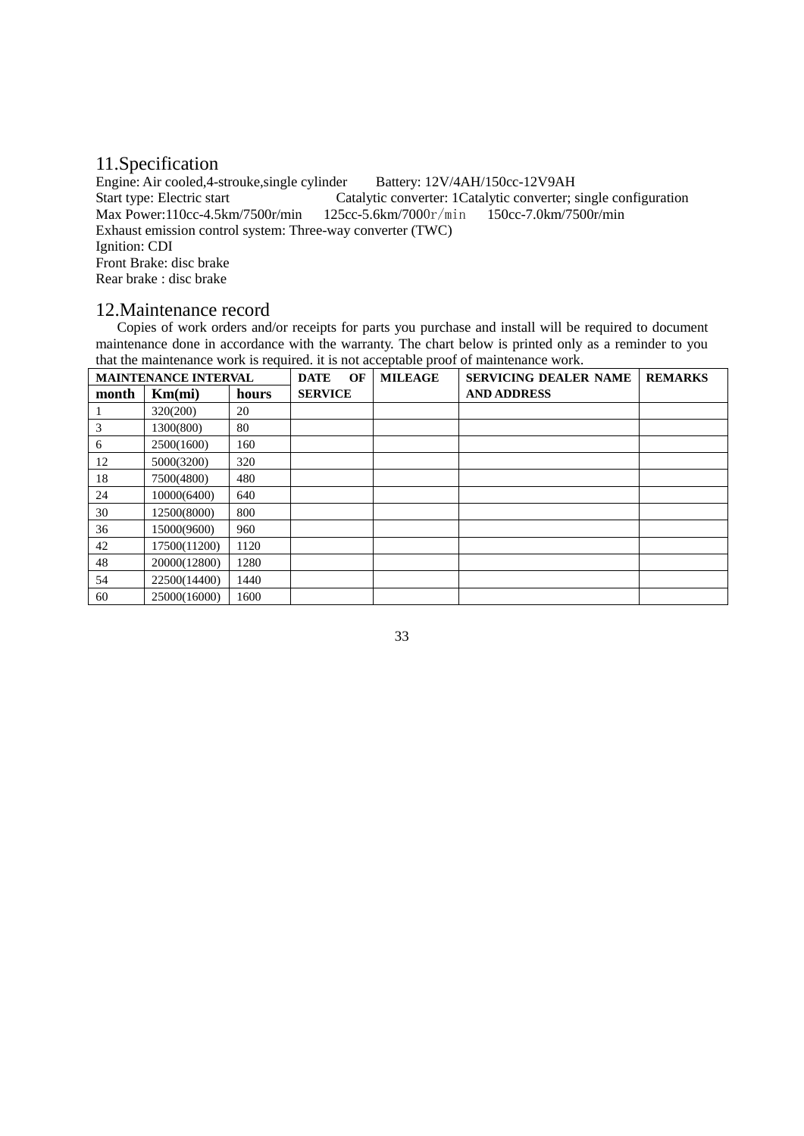## 11.Specification

Engine: Air cooled,4-strouke,single cylinder Battery: 12V/4AH/150cc-12V9AH Start type: Electric start Catalytic converter: 1Catalytic converter; single configuration<br>Max Power: 110cc-4.5km/7500r/min 125cc-5.6km/7000r/min 150cc-7.0km/7500r/min Max Power: $110cc-4.5km/7500r/min$ Exhaust emission control system: Three-way converter (TWC) Ignition: CDI Front Brake: disc brake Rear brake : disc brake

## 12.Maintenance record

 Copies of work orders and/or receipts for parts you purchase and install will be required to document maintenance done in accordance with the warranty. The chart below is printed only as a reminder to you that the maintenance work is required. it is not acceptable proof of maintenance work.

|       | <b>MAINTENANCE INTERVAL</b> |       | OF<br><b>DATE</b> | <b>MILEAGE</b> | <b>SERVICING DEALER NAME</b> | <b>REMARKS</b> |
|-------|-----------------------------|-------|-------------------|----------------|------------------------------|----------------|
| month | Km(mi)                      | hours | <b>SERVICE</b>    |                | <b>AND ADDRESS</b>           |                |
|       | 320(200)                    | 20    |                   |                |                              |                |
| 3     | 1300(800)                   | 80    |                   |                |                              |                |
| 6     | 2500(1600)                  | 160   |                   |                |                              |                |
| 12    | 5000(3200)                  | 320   |                   |                |                              |                |
| 18    | 7500(4800)                  | 480   |                   |                |                              |                |
| 24    | 10000(6400)                 | 640   |                   |                |                              |                |
| 30    | 12500(8000)                 | 800   |                   |                |                              |                |
| 36    | 15000(9600)                 | 960   |                   |                |                              |                |
| 42    | 17500(11200)                | 1120  |                   |                |                              |                |
| 48    | 20000(12800)                | 1280  |                   |                |                              |                |
| 54    | 22500(14400)                | 1440  |                   |                |                              |                |
| 60    | 25000(16000)                | 1600  |                   |                |                              |                |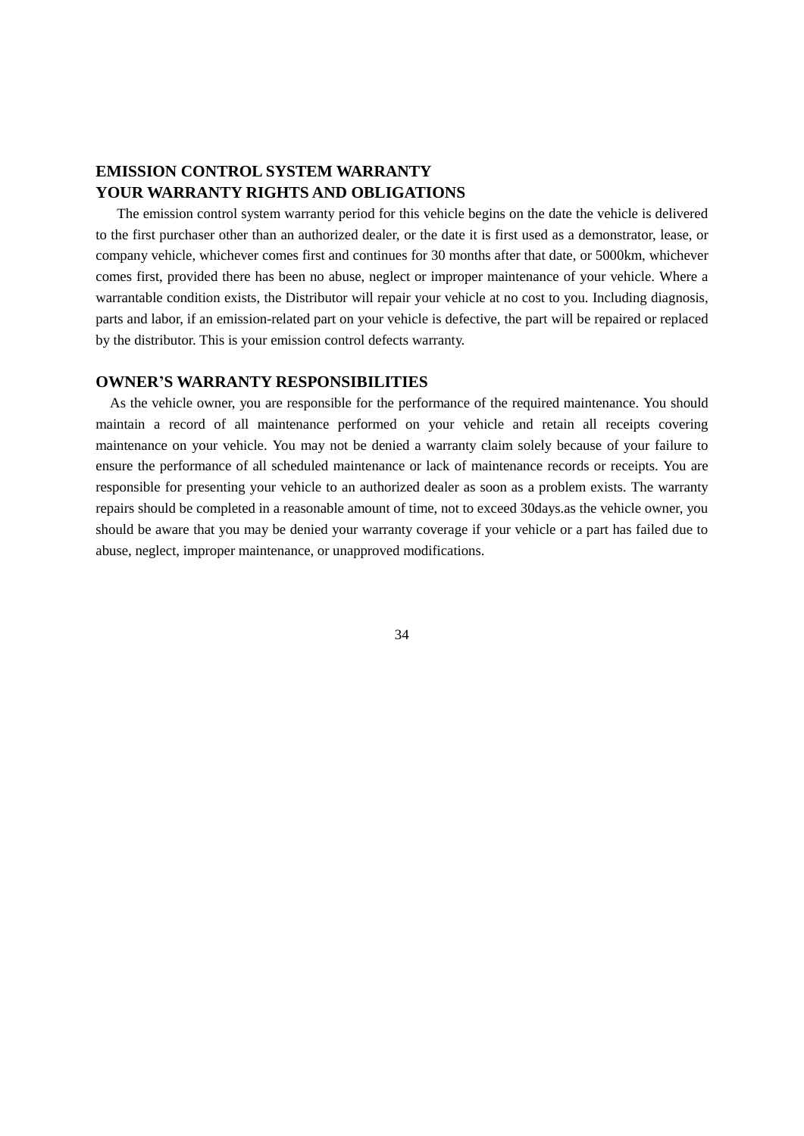# **EMISSION CONTROL SYSTEM WARRANTY YOUR WARRANTY RIGHTS AND OBLIGATIONS**

The emission control system warranty period for this vehicle begins on the date the vehicle is delivered to the first purchaser other than an authorized dealer, or the date it is first used as a demonstrator, lease, or company vehicle, whichever comes first and continues for 30 months after that date, or 5000km, whichever comes first, provided there has been no abuse, neglect or improper maintenance of your vehicle. Where a warrantable condition exists, the Distributor will repair your vehicle at no cost to you. Including diagnosis, parts and labor, if an emission-related part on your vehicle is defective, the part will be repaired or replaced by the distributor. This is your emission control defects warranty.

#### **OWNER'S WARRANTY RESPONSIBILITIES**

As the vehicle owner, you are responsible for the performance of the required maintenance. You should maintain a record of all maintenance performed on your vehicle and retain all receipts covering maintenance on your vehicle. You may not be denied a warranty claim solely because of your failure to ensure the performance of all scheduled maintenance or lack of maintenance records or receipts. You are responsible for presenting your vehicle to an authorized dealer as soon as a problem exists. The warranty repairs should be completed in a reasonable amount of time, not to exceed 30days.as the vehicle owner, you should be aware that you may be denied your warranty coverage if your vehicle or a part has failed due to abuse, neglect, improper maintenance, or unapproved modifications.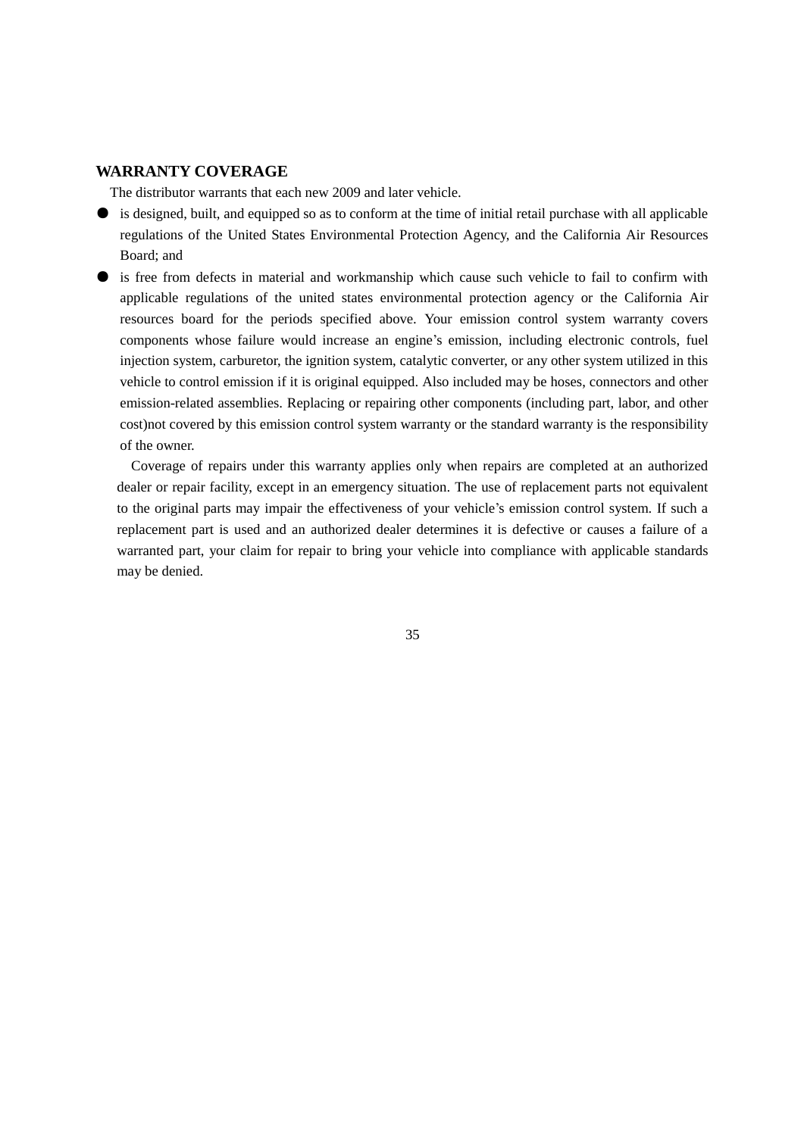#### **WARRANTY COVERAGE**

The distributor warrants that each new 2009 and later vehicle.

- is designed, built, and equipped so as to conform at the time of initial retail purchase with all applicable regulations of the United States Environmental Protection Agency, and the California Air Resources Board; and
- is free from defects in material and workmanship which cause such vehicle to fail to confirm with applicable regulations of the united states environmental protection agency or the California Air resources board for the periods specified above. Your emission control system warranty covers components whose failure would increase an engine's emission, including electronic controls, fuel injection system, carburetor, the ignition system, catalytic converter, or any other system utilized in this vehicle to control emission if it is original equipped. Also included may be hoses, connectors and other emission-related assemblies. Replacing or repairing other components (including part, labor, and other cost)not covered by this emission control system warranty or the standard warranty is the responsibility of the owner.

Coverage of repairs under this warranty applies only when repairs are completed at an authorized dealer or repair facility, except in an emergency situation. The use of replacement parts not equivalent to the original parts may impair the effectiveness of your vehicle's emission control system. If such a replacement part is used and an authorized dealer determines it is defective or causes a failure of a warranted part, your claim for repair to bring your vehicle into compliance with applicable standards may be denied.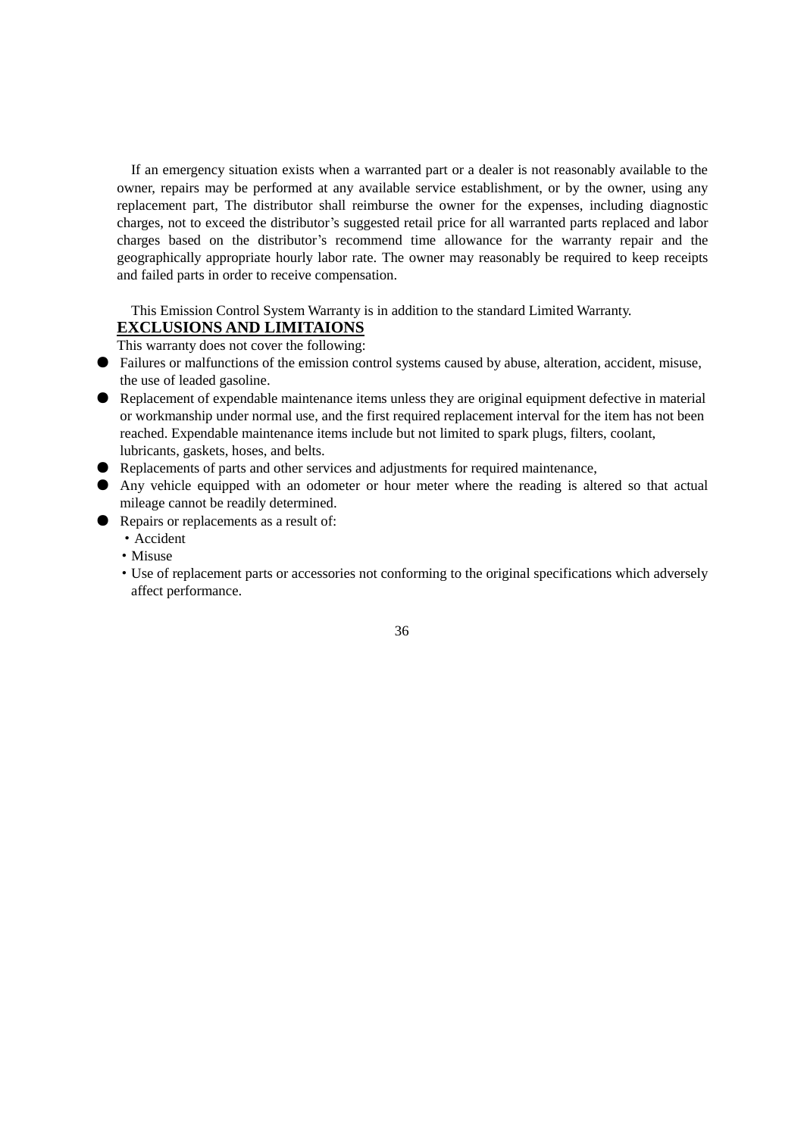If an emergency situation exists when a warranted part or a dealer is not reasonably available to the owner, repairs may be performed at any available service establishment, or by the owner, using any replacement part, The distributor shall reimburse the owner for the expenses, including diagnostic charges, not to exceed the distributor's suggested retail price for all warranted parts replaced and labor charges based on the distributor's recommend time allowance for the warranty repair and the geographically appropriate hourly labor rate. The owner may reasonably be required to keep receipts and failed parts in order to receive compensation.

# This Emission Control System Warranty is in addition to the standard Limited Warranty.

# **EXCLUSIONS AND LIMITAIONS**

This warranty does not cover the following:

- Failures or malfunctions of the emission control systems caused by abuse, alteration, accident, misuse, the use of leaded gasoline.
- Replacement of expendable maintenance items unless they are original equipment defective in material or workmanship under normal use, and the first required replacement interval for the item has not been reached. Expendable maintenance items include but not limited to spark plugs, filters, coolant, lubricants, gaskets, hoses, and belts.
- Replacements of parts and other services and adjustments for required maintenance,
- Any vehicle equipped with an odometer or hour meter where the reading is altered so that actual mileage cannot be readily determined.
- Repairs or replacements as a result of:
	- ·Accident
	- ·Misuse
	- ·Use of replacement parts or accessories not conforming to the original specifications which adversely affect performance.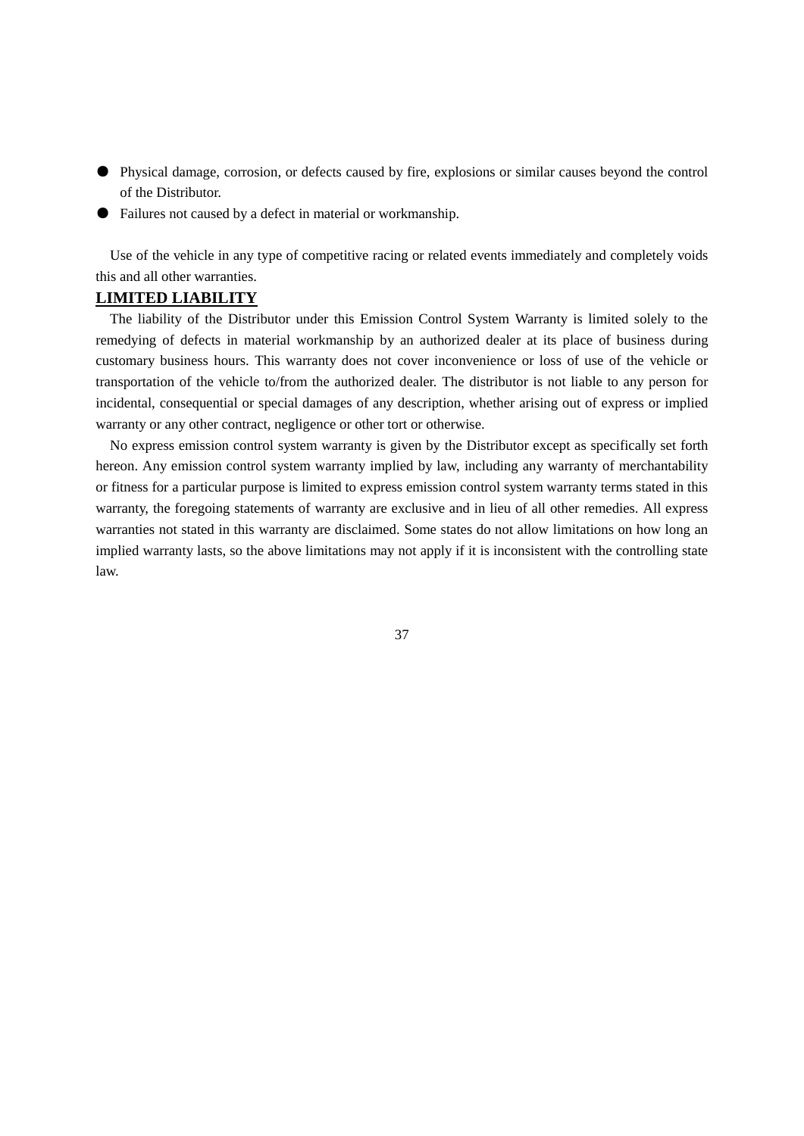- Physical damage, corrosion, or defects caused by fire, explosions or similar causes beyond the control of the Distributor.
- Failures not caused by a defect in material or workmanship.

Use of the vehicle in any type of competitive racing or related events immediately and completely voids this and all other warranties.

#### **LIMITED LIABILITY**

The liability of the Distributor under this Emission Control System Warranty is limited solely to the remedying of defects in material workmanship by an authorized dealer at its place of business during customary business hours. This warranty does not cover inconvenience or loss of use of the vehicle or transportation of the vehicle to/from the authorized dealer. The distributor is not liable to any person for incidental, consequential or special damages of any description, whether arising out of express or implied warranty or any other contract, negligence or other tort or otherwise.

No express emission control system warranty is given by the Distributor except as specifically set forth hereon. Any emission control system warranty implied by law, including any warranty of merchantability or fitness for a particular purpose is limited to express emission control system warranty terms stated in this warranty, the foregoing statements of warranty are exclusive and in lieu of all other remedies. All express warranties not stated in this warranty are disclaimed. Some states do not allow limitations on how long an implied warranty lasts, so the above limitations may not apply if it is inconsistent with the controlling state law.